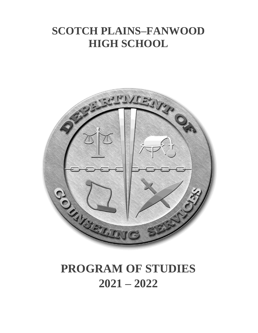# **SCOTCH PLAINS–FANWOOD HIGH SCHOOL**



# **PROGRAM OF STUDIES 2021 – 2022**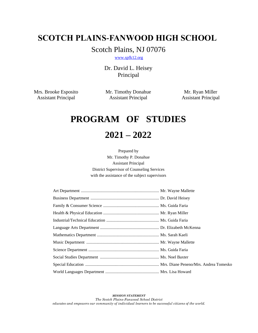# **SCOTCH PLAINS-FANWOOD HIGH SCHOOL**

Scotch Plains, NJ 07076

[www.spfk12.org](http://www.spfk12.org/)

Dr. David L. Heisey Principal

Mrs. Brooke Esposito Mr. Timothy Donahue Mr. Ryan Miller Assistant Principal Assistant Principal Assistant Principal

# **PROGRAM OF STUDIES**

# **2021 – 2022**

Prepared by Mr. Timothy P. Donahue Assistant Principal District Supervisor of Counseling Services with the assistance of the subject supervisors

*MISSION STATEMENT The Scotch Plains-Fanwood School District educates and empowers our community of individual learners to be successful citizens of the world.*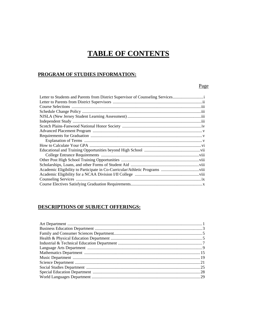# **TABLE OF CONTENTS**

# PROGRAM OF STUDIES INFORMATION:

# Page

| Letter to Students and Parents from District Supervisor of Counseling Services |
|--------------------------------------------------------------------------------|
|                                                                                |
|                                                                                |
|                                                                                |
|                                                                                |
|                                                                                |
|                                                                                |
|                                                                                |
|                                                                                |
|                                                                                |
|                                                                                |
|                                                                                |
|                                                                                |
|                                                                                |
|                                                                                |
|                                                                                |
|                                                                                |
|                                                                                |
|                                                                                |

# DESCRIPTIONS OF SUBJECT OFFERINGS: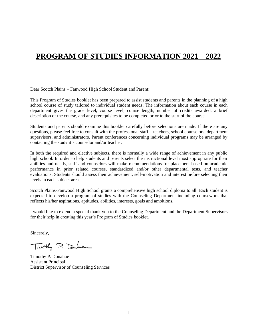# **PROGRAM OF STUDIES INFORMATION 2021 – 2022**

Dear Scotch Plains – Fanwood High School Student and Parent:

This Program of Studies booklet has been prepared to assist students and parents in the planning of a high school course of study tailored to individual student needs. The information about each course in each department gives the grade level, course level, course length, number of credits awarded, a brief description of the course, and any prerequisites to be completed prior to the start of the course.

Students and parents should examine this booklet carefully before selections are made. If there are any questions, please feel free to consult with the professional staff – teachers, school counselors, department supervisors, and administrators. Parent conferences concerning individual programs may be arranged by contacting the student's counselor and/or teacher.

In both the required and elective subjects, there is normally a wide range of achievement in any public high school. In order to help students and parents select the instructional level most appropriate for their abilities and needs, staff and counselors will make recommendations for placement based on academic performance in prior related courses, standardized and/or other departmental tests, and teacher evaluations. Students should assess their achievement, self-motivation and interest before selecting their levels in each subject area.

Scotch Plains-Fanwood High School grants a comprehensive high school diploma to all. Each student is expected to develop a program of studies with the Counseling Department including coursework that reflects his/her aspirations, aptitudes, abilities, interests, goals and ambitions.

I would like to extend a special thank you to the Counseling Department and the Department Supervisors for their help in creating this year's Program of Studies booklet.

Sincerely,

Timothy P. Dahue

Timothy P. Donahue Assistant Principal District Supervisor of Counseling Services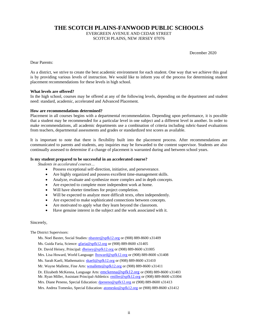**THE SCOTCH PLAINS-FANWOOD PUBLIC SCHOOLS**

EVERGREEN AVENUE AND CEDAR STREET SCOTCH PLAINS, NEW JERSEY 07076

December 2020

Dear Parents:

As a district, we strive to create the best academic environment for each student. One way that we achieve this goal is by providing various levels of instruction. We would like to inform you of the process for determining student placement recommendations for these levels in high school.

#### **What levels are offered?**

In the high school, courses may be offered at any of the following levels, depending on the department and student need: standard, academic, accelerated and Advanced Placement.

#### **How are recommendations determined?**

Placement in all courses begins with a departmental recommendation. Depending upon performance, it is possible that a student may be recommended for a particular level in one subject and a different level in another. In order to make recommendations, all academic departments use a combination of criteria including rubric-based evaluations from teachers, departmental assessments and grades or standardized test scores as available.

It is important to note that there is flexibility built into the placement process. After recommendations are communicated to parents and students, any inquiries may be forwarded to the content supervisor. Students are also continually assessed to determine if a change of placement is warranted during and between school years.

#### **Is my student prepared to be successful in an accelerated course?**

*Students in accelerated courses…*

- Possess exceptional self-direction, initiative, and perseverance.
- Are highly organized and possess excellent time-management skills.
- Analyze, evaluate and synthesize more complex and in depth concepts.
- Are expected to complete more independent work at home.
- Will have shorter timelines for project completion.
- Will be expected to analyze more difficult texts, often independently.
- Are expected to make sophisticated connections between concepts.
- Are motivated to apply what they learn beyond the classroom.
- Have genuine interest in the subject and the work associated with it.

#### Sincerely,

The District Supervisors:

Ms. Noel Baxter, Social Studies[: nbaxter@spfk12.org](mailto:nbaxter@spfk12.org) or (908) 889-8600 x31409

Ms. Guida Faria, Science: [gfaria@spfk12.org](mailto:gfaria@spfk12.org) or (908) 889-8600 x31405

Dr. David Heisey, Principal: [dheisey@spfk12.org](mailto:dheisey@spfk12.org) or (908) 889-8600 x31005

Mrs. Lisa Howard, World Language: *[lhoward@spfk12.org](mailto:lhoward@spfk12.org)* or (908) 889-8600 x31408

Ms. Sarah Kaeli, Mathematics: [skaeli@spfk12.org](mailto:skaeli@spfk12.org) or (908) 889-8600 x31410

Mr. Wayne Mallette, Fine Arts: [wmallette@spfk12.org](mailto:wmallette@spfk12.org) or (908) 889-8600 x31411

Dr. Elizabeth McKenna, Language Arts: [emckenna@spfk12.org](mailto:emckenna@spfk12.org) or (908) 889-8600 x31403

Mr. Ryan Miller, Assistant Principal-Athletics[: rmiller@spfk12.org](mailto:rmiller@spfk12.org) or (908) 889-8600 x31004

Mrs. Diane Peneno, Special Education[: dpeneno@spfk12.org](mailto:dpeneno@spfk12.org) or (908) 889-8600 x31413

Mrs. Andrea Tomesko, Special Education[: atomesko@spfk12.org](mailto:atomesko@spfk12.org) or (908) 889-8600 x31412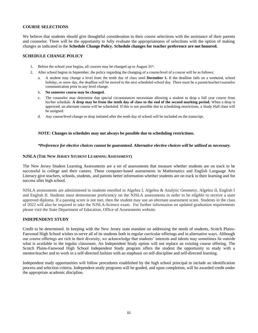#### **COURSE SELECTIONS**

We believe that students should give thoughtful consideration to their course selections with the assistance of their parents and counselor. There will be the opportunity to fully evaluate the appropriateness of selections with the option of making changes as indicated in the **Schedule Change Policy. Schedule changes for teacher preference are not honored.**

#### **SCHEDULE CHANGE POLICY**

- 1. Before the school year begins, all courses may be changed up to August 31<sup>st</sup>.
- 2. After school begins in September, the policy regarding the changing of a course/level of a course will be as follows:
	- a. A student may change a level from the tenth day of class until **December 1.** If the deadline falls on a weekend, school holiday, or snow day, the deadline will be moved to the next scheduled school day. There must be a parent/teacher/counselor communication prior to any level change.
	- b. **No semester course may be changed.**
	- c. The counselor may determine that special circumstances necessitate allowing a student to drop a full year course from his/her schedule. **A drop may be from the tenth day of class to the end of the second marking period.** When a drop is approved, an alternate course will be scheduled. If this is not possible due to scheduling restrictions, a Study Hall class will be assigned.
	- d. Any course/level change or drop initiated after the tenth day of school will be included on the transcript.

#### *NOTE***: Changes in schedules may not always be possible due to scheduling restrictions.**

#### *\*Preference for elective choices cannot be guaranteed. Alternative elective choices will be utilized as necessary.*

#### **NJSLA (THE NEW JERSEY STUDENT LEARNING ASSESSMENT)**

The New Jersey Student Learning Assessments are a set of assessments that measure whether students are on track to be successful in college and their careers. These computer-based assessments in Mathematics and English Language Arts Literacy give teachers, schools, students, and parents better information whether students are on track in their learning and for success after high school.

NJSLA assessments are administered to students enrolled in Algebra I, Algebra & Analytic Geometry, Algebra II, English I and English II. Students must demonstrate proficiency on the NJSLA assessments in order to be eligible to receive a state approved diploma. If a passing score is not met, then the student may use an alternate assessment score. Students in the class of 2022 will also be required to take the NJSLA-Science exam. For further information on updated graduation requirements please visit the State Department of Education, Office of Assessments website.

#### **INDEPENDENT STUDY**

Credit to be determined. In keeping with the New Jersey state mandate on addressing the needs of students, Scotch Plains-Fanwood High School wishes to serve all of its students both in regular curricular offerings and in alternative ways. Although our course offerings are rich in their diversity, we acknowledge that students' interests and talents may sometimes lie outside what is available in the regular classroom. An Independent Study option will not replace an existing course offering. The Scotch Plains-Fanwood High School Independent Study program offers the student the opportunity to study with a mentor/teacher and to work in a self-directed fashion with an emphasis on self-discipline and self-directed learning.

Independent study opportunities will follow procedures established by the high school principal to include an identification process and selection criteria. Independent study programs will be graded, and upon completion, will be awarded credit under the appropriate academic discipline.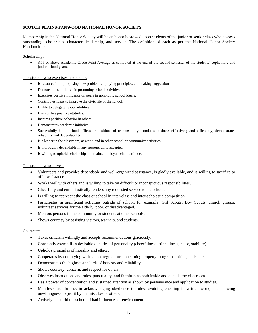#### **SCOTCH PLAINS-FANWOOD NATIONAL HONOR SOCIETY**

Membership in the National Honor Society will be an honor bestowed upon students of the junior or senior class who possess outstanding scholarship, character, leadership, and service. The definition of each as per the National Honor Society Handbook is:

#### Scholarship:

• 3.75 or above Academic Grade Point Average as computed at the end of the second semester of the students' sophomore and junior school years.

#### The student who exercises leadership:

- Is resourceful in proposing new problems, applying principles, and making suggestions.
- Demonstrates initiative in promoting school activities.
- Exercises positive influence on peers in upholding school ideals.
- Contributes ideas to improve the civic life of the school.
- Is able to delegate responsibilities.
- Exemplifies positive attitudes.
- Inspires positive behavior in others.
- Demonstrates academic initiative.
- Successfully holds school offices or positions of responsibility; conducts business effectively and efficiently; demonstrates reliability and dependability.
- Is a leader in the classroom, at work, and in other school or community activities.
- Is thoroughly dependable in any responsibility accepted.
- Is willing to uphold scholarship and maintain a loyal school attitude.

#### The student who serves:

- Volunteers and provides dependable and well-organized assistance, is gladly available, and is willing to sacrifice to offer assistance.
- Works well with others and is willing to take on difficult or inconspicuous responsibilities.
- Cheerfully and enthusiastically renders any requested service to the school.
- Is willing to represent the class or school in inter-class and inter-scholastic competition.
- Participates in significant activities outside of school, for example, Girl Scouts, Boy Scouts, church groups, volunteer services for the elderly, poor, or disadvantaged.
- Mentors persons in the community or students at other schools.
- Shows courtesy by assisting visitors, teachers, and students.

#### Character:

- Takes criticism willingly and accepts recommendations graciously.
- Constantly exemplifies desirable qualities of personality (cheerfulness, friendliness, poise, stability).
- Upholds principles of morality and ethics.
- Cooperates by complying with school regulations concerning property, programs, office, halls, etc.
- Demonstrates the highest standards of honesty and reliability.
- Shows courtesy, concern, and respect for others.
- Observes instructions and rules, punctuality, and faithfulness both inside and outside the classroom.
- Has a power of concentration and sustained attention as shown by perseverance and application to studies.
- Manifests truthfulness in acknowledging obedience to rules, avoiding cheating in written work, and showing unwillingness to profit by the mistakes of others.
- Actively helps rid the school of bad influences or environment.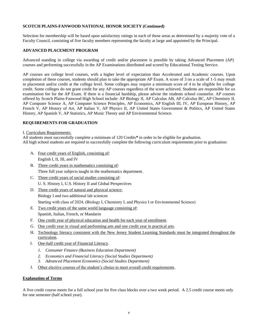#### **SCOTCH PLAINS-FANWOOD NATIONAL HONOR SOCIETY (Continued)**

Selection for membership will be based upon satisfactory ratings in each of these areas as determined by a majority vote of a Faculty Council, consisting of five faculty members representing the faculty at large and appointed by the Principal.

#### **ADVANCED PLACEMENT PROGRAM**

Advanced standing in college via awarding of credit and/or placement is possible by taking Advanced Placement (AP) courses and performing successfully in the AP Examinations distributed and scored by Educational Testing Service.

AP courses are college level courses, with a higher level of expectation than Accelerated and Academic courses. Upon completion of these courses, students should plan to take the appropriate AP Exam. A score of 3 on a scale of 1-5 may result in placement and/or credit at the college level. Some colleges may require a minimum score of 4 to be eligible for college credit. Some colleges do not grant credit for any AP courses regardless of the score achieved. Students are responsible for an examination fee for the AP Exam. If there is a financial hardship, please advise the students school counselor. AP courses offered by Scotch Plains-Fanwood High School include: AP Biology II, AP Calculus AB, AP Calculus BC, AP Chemistry II, AP Computer Science A, AP Computer Science Principles, AP Economics, AP English III, IV, AP European History, AP French V, AP History of Art, AP Italian V, AP Physics II, AP United States Government & Politics, AP United States History, AP Spanish V, AP Statistics, AP Music Theory and AP Environmental Science.

#### **REQUIREMENTS FOR GRADUATION**

#### I. Curriculum Requirements:

All students must successfully complete a minimum of 120 Credits**\*** in order to be eligible for graduation. All high school students are required to successfully complete the following curriculum requirements prior to graduation:

- A. Four credit years of English, consisting of: English I, II, III, and IV
- B. Three credit years in mathematics consisting of: Three full year subjects taught in the mathematics department.
- C. Three credit years of social studies consisting of: U. S. History I, U.S. History II and Global Perspectives
- D. Three credit years of natural and physical science: Biology I and two additional lab sciences Starting with class of 2024, (Biology I, Chemistry I, and Physics I or Environmental Science)
- E. Two credit years of the same world language consisting of:
	- Spanish, Italian, French, or Mandarin
- F. One credit year of physical education and health for each year of enrollment.
- G. One credit year in visual and performing arts and one credit year in practical arts.
- H. Technology literacy consistent with the New Jersey Student Learning Standards must be integrated throughout the curriculum.
- I. One-half credit year of Financial Literacy.
	- *1. Consumer Finance (Business Education Department)*
	- *2. Economics and Financial Literacy (Social Studies Department)*
	- *3. Advanced Placement Economics (Social Studies Department)*
- J. Other elective courses of the student's choice to meet overall credit requirements.

#### **Explanation of Terms**

A five credit course meets for a full school year for five class blocks over a two week period. A 2.5 credit course meets only for one semester (half school year).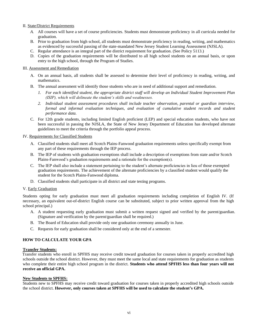#### II. State/District Requirements

- *A.* All courses will have a set of course proficiencies. Students must demonstrate proficiency in all curricula needed for graduation.
- B. Prior to graduation from high school, all students must demonstrate proficiency in reading, writing, and mathematics as evidenced by successful passing of the state-mandated New Jersey Student Learning Assessment (NJSLA).
- C. Regular attendance is an integral part of the district requirement for graduation. (See Policy 5113.)
- D. Copies of the graduation requirements will be distributed to all high school students on an annual basis, or upon entry to the high school, through the Program of Studies.

#### III. Assessment and Remediation

- A. On an annual basis, all students shall be assessed to determine their level of proficiency in reading, writing, and mathematics.
- B. The annual assessment will identify those students who are in need of additional support and remediation.
	- *1. For each identified student, the appropriate district staff will develop an Individual Student Improvement Plan (ISIP), which will delineate the student's skills and weaknesses.*
	- *2. Individual student assessment procedures shall include teacher observation, parental or guardian interview, formal and informal evaluation techniques, and evaluation of cumulative student records and student performance data.*
- C. For 12th grade students, including limited English proficient (LEP) and special education students, who have not been successful in passing the NJSLA, the State of New Jersey Department of Education has developed alternate guidelines to meet the criteria through the portfolio appeal process.

#### IV. Requirements for Classified Students

- A. Classified students shall meet all Scotch Plains-Fanwood graduation requirements unless specifically exempt from any part of these requirements through the IEP process.
- B. The IEP of students with graduation exemptions shall include a description of exemptions from state and/or Scotch Plains-Fanwood's graduation requirements and a rationale for the exemption(s).
- C. The IEP shall also include a statement pertaining to the student's alternate proficiencies in lieu of those exempted graduation requirements. The achievement of the alternate proficiencies by a classified student would qualify the student for the Scotch Plains-Fanwood diploma.
- D. Classified students shall participate in all district and state testing programs.

#### V. Early Graduation

Students opting for early graduation must meet all graduation requirements including completion of English IV. (If necessary, an equivalent out-of-district English course can be substituted, subject to prior written approval from the high school principal.)

- A. A student requesting early graduation must submit a written request signed and verified by the parent/guardian. (Signature and verification by the parent/guardian shall be required.)
- B. The Board of Education shall provide only one graduation ceremony annually in June.
- C. Requests for early graduation shall be considered only at the end of a semester.

#### **HOW TO CALCULATE YOUR GPA**

#### **Transfer Students:**

Transfer students who enroll in SPFHS may receive credit toward graduation for courses taken in properly accredited high schools outside the school district. However, they must meet the same local and state requirements for graduation as students who complete their entire high school program in the district. **Students who attend SPFHS less than four years will not receive an official GPA.**

#### **New Students to SPFHS:**

Students new to SPFHS may receive credit toward graduation for courses taken in properly accredited high schools outside the school district. **However, only courses taken at SPFHS will be used to calculate the student's GPA.**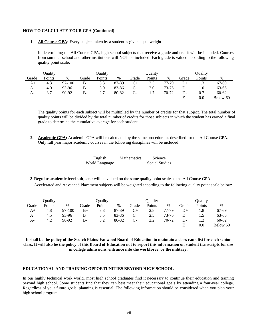#### **HOW TO CALCULATE YOUR GPA (Continued)**

**1. All Course GPA:** Every subject taken by a student is given equal weight.

In determining the All Course GPA, high school subjects that receive a grade and credit will be included. Courses from summer school and other institutions will NOT be included. Each grade is valued according to the following quality point scale:

|       | Ouality |        |             | Ouality |       |       | Ouality |       |       | Ouality |           |
|-------|---------|--------|-------------|---------|-------|-------|---------|-------|-------|---------|-----------|
| Grade | Points  | $\%$   | Grade       | Points  | $\%$  | Grade | Points  | $\%$  | Grade | Points  | $\%$      |
| A+    | 4.3     | 97-100 | $_{\rm B+}$ | 3.3     | 87-89 | $C+$  | 2.3     | 77-79 | D+    |         | 67-69     |
| A     | 4.0     | 93-96  | B           | 3.0     | 83-86 |       | 2.0     | 73-76 |       | 1.0     | 63-66     |
| A-    | 3.7     | 90-92  | $B -$       | 2.7     | 80-82 | $C-$  | 1.7     | 70-72 | D-    | 0.7     | $60 - 62$ |
|       |         |        |             |         |       |       |         |       |       | $0.0\,$ | Below 60  |

The quality points for each subject will be multiplied by the number of credits for that subject. The total number of quality points will be divided by the total number of credits for those subjects in which the student has earned a final grade to determine the cumulative average for each student.

**2. Academic GPA:** Academic GPA will be calculated by the same procedure as described for the All Course GPA. Only full year major academic courses in the following disciplines will be included:

| English        | <b>Mathematics</b> | Science               |
|----------------|--------------------|-----------------------|
| World Language |                    | <b>Social Studies</b> |

**3. Regular academic level subjects:** will be valued on the same quality point scale as the All Course GPA.

Accelerated and Advanced Placement subjects will be weighted according to the following quality point scale below:

|       | Quality |          |             | Quality |       |       | Quality |       |       | Ouality |           |
|-------|---------|----------|-------------|---------|-------|-------|---------|-------|-------|---------|-----------|
| Grade | Points  | %        | Grade       | Points  | $\%$  | Grade | Points  | $\%$  | Grade | Points  | %         |
| A+    | 4.8     | $97-100$ | $_{\rm B+}$ | 3.8     | 87-89 | $C+$  | 2.8     | 77-79 | D+    |         | 67-69     |
| А     | 4.5     | 93-96    | B           | 3.5     | 83-86 | С     | 2.5     | 73-76 |       | 1.5     | 63-66     |
| A-    | 4.2     | 90-92    | B-          | 3.2     | 80-82 | $C-$  | 2.2     | 70-72 | D-    | 1.2     | $60 - 62$ |
|       |         |          |             |         |       |       |         |       |       | 0.0     | Below 60  |

**It shall be the policy of the Scotch Plains-Fanwood Board of Education to maintain a class rank list for each senior class. It will also be the policy of this Board of Education not to report this information on student transcripts for use in college admissions, entrance into the workforce, or the military.**

#### **EDUCATIONAL AND TRAINING OPPORTUNITIES BEYOND HIGH SCHOOL**

In our highly technical work world, most high school graduates find it necessary to continue their education and training beyond high school. Some students find that they can best meet their educational goals by attending a four-year college. Regardless of your future goals, planning is essential. The following information should be considered when you plan your high school program.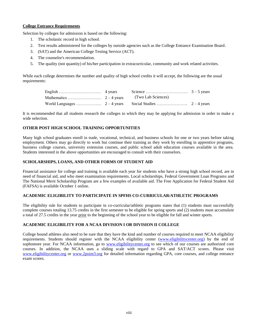#### **College Entrance Requirements**

Selection by colleges for admission is based on the following:

- 1. The scholastic record in high school.
- 2. Test results administered for the colleges by outside agencies such as the College Entrance Examination Board.
- 3. (SAT) and the American College Testing Service (ACT).
- 4. The counselor's recommendation.
- 5. The quality (not quantity) of his/her participation in extracurricular, community and work related activities.

While each college determines the number and quality of high school credits it will accept, the following are the usual requirements:

It is recommended that all students research the colleges to which they may be applying for admission in order to make a wide selection.

# **OTHER POST HIGH SCHOOL TRAINING OPPORTUNITIES**

Many high school graduates enroll in trade, vocational, technical, and business schools for one or two years before taking employment. Others may go directly to work but continue their training as they work by enrolling in apprentice programs, business college courses, university extension courses, and public school adult education courses available in the area. Students interested in the above opportunities are encouraged to consult with their counselors.

# **SCHOLARSHIPS, LOANS, AND OTHER FORMS OF STUDENT AID**

Financial assistance for college and training is available each year for students who have a strong high school record, are in need of financial aid, and who meet examination requirements. Local scholarships, Federal Government Loan Programs and The National Merit Scholarship Program are a few examples of available aid. The Free Application for Federal Student Aid (FAFSA) is available October 1 online.

## **ACADEMIC ELIGIBILITY TO PARTICIPATE IN SPFHS CO-CURRICULAR/ATHLETIC PROGRAMS**

The eligibility rule for students to participate in co-curricular/athletic programs states that (1) students must successfully complete courses totaling 13.75 credits in the first semester to be eligible for spring sports and (2) students must accumulate a total of 27.5 credits in the year prior to the beginning of the school year to be eligible for fall and winter sports.

## **ACADEMIC ELIGIBILITY FOR A NCAA DIVISION I OR DIVISION II COLLEGE**

College bound athletes also need to be sure that they have the kind and number of courses required to meet NCAA eligibility requirements. Students should register with the NCAA eligibility center [\(www.eligibilitycenter.org\)](http://www.eligibilitycenter.org/) by the end of sophomore year. For NCAA information, go to [www.eligibilitycenter.org](http://www.eligibilitycenter.org/) to see which of our courses are authorized core courses. In addition, the NCAA uses a sliding scale with regard to GPA and SAT/ACT scores. Please visit [www.eligibilitycenter.org](http://www.eligibilitycenter.org/) or [www.2point3.org](http://www.2point3.org/) for detailed information regarding GPA, core courses, and college entrance exam scores.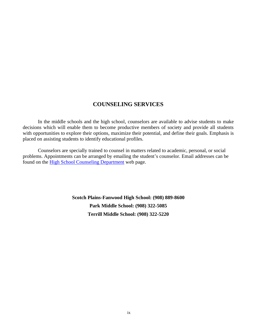# **COUNSELING SERVICES**

In the middle schools and the high school, counselors are available to advise students to make decisions which will enable them to become productive members of society and provide all students with opportunities to explore their options, maximize their potential, and define their goals. Emphasis is placed on assisting students to identify educational profiles.

Counselors are specially trained to counsel in matters related to academic, personal, or social problems. Appointments can be arranged by emailing the student's counselor. Email addresses can be found on the [High School Counseling Department](https://nj50000526.schoolwires.net/domain/863) web page.

> **Scotch Plains-Fanwood High School: (908) 889-8600 Park Middle School: (908) 322-5085 Terrill Middle School: (908) 322-5220**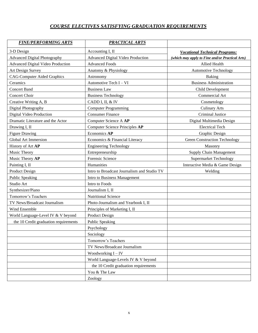# *COURSE ELECTIVES SATISFYING GRADUATION REQUIREMENTS*

| <b>FINE/PERFORMING ARTS</b>              | <b>PRACTICAL ARTS</b>                       |                                                 |
|------------------------------------------|---------------------------------------------|-------------------------------------------------|
| 3-D Design                               | Accounting I, II                            | <b>Vocational Technical Programs:</b>           |
| <b>Advanced Digital Photography</b>      | Advanced Digital Video Production           | (which may apply to Fine and/or Practical Arts) |
| <b>Advanced Digital Video Production</b> | <b>Advanced Foods</b>                       | Allied Health                                   |
| Art Design Survey                        | Anatomy & Physiology                        | <b>Automotive Technology</b>                    |
| <b>CAG-Computer Aided Graphics</b>       | Astronomy                                   | <b>Baking</b>                                   |
| Ceramics                                 | Automotive Tech I - VI                      | <b>Business Administration</b>                  |
| <b>Concert Band</b>                      | <b>Business Law</b>                         | Child Development                               |
| Concert Choir                            | <b>Business Technology</b>                  | Commercial Art                                  |
| Creative Writing A, B                    | CADD I, II, & IV                            | Cosmetology                                     |
| Digital Photography                      | <b>Computer Programming</b>                 | <b>Culinary Arts</b>                            |
| Digital Video Production                 | <b>Consumer Finance</b>                     | <b>Criminal Justice</b>                         |
| Dramatic Literature and the Actor        | Computer Science A AP                       | Digital Multimedia Design                       |
| Drawing I, II                            | <b>Computer Science Principles AP</b>       | <b>Electrical Tech</b>                          |
| <b>Figure Drawing</b>                    | Economics AP                                | Graphic Design                                  |
| <b>Global Art Immersion</b>              | Economics & Financial Literacy              | <b>Green Construction Technology</b>            |
| History of Art AP                        | <b>Engineering Technology</b>               | Masonry                                         |
| Music Theory                             | Entrepreneurship                            | <b>Supply Chain Management</b>                  |
| Music Theory AP                          | Forensic Science                            | Supermarket Technology                          |
| Painting I, II                           | Humanities                                  | Interactive Media & Game Design                 |
| <b>Product Design</b>                    | Intro to Broadcast Journalism and Studio TV | Welding                                         |
| Public Speaking                          | Intro to Business Management                |                                                 |
| Studio Art                               | Intro to Foods                              |                                                 |
| Synthesizer/Piano                        | Journalism I, II                            |                                                 |
| Tomorrow's Teachers                      | Nutritional Science                         |                                                 |
| TV News/Broadcast Journalism             | Photo-Journalism and Yearbook I, II         |                                                 |
| <b>Wind Ensemble</b>                     | Principles of Marketing I, II               |                                                 |
| World Language-Level IV & V beyond       | Product Design                              |                                                 |
| the 10 Credit graduation requirements    | <b>Public Speaking</b>                      |                                                 |
|                                          | Psychology                                  |                                                 |
|                                          | Sociology                                   |                                                 |
|                                          | Tomorrow's Teachers                         |                                                 |
|                                          | TV News/Broadcast Journalism                |                                                 |
|                                          | Woodworking $I - IV$                        |                                                 |
|                                          | World Language-Levels IV & V beyond         |                                                 |
|                                          | the 10 Credit graduation requirements       |                                                 |
|                                          | You & The Law                               |                                                 |
|                                          | Zoology                                     |                                                 |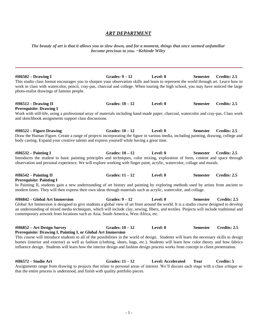## *ART DEPARTMENT*

*The beauty of art is that it allows you to slow down, and for a moment, things that once seemed unfamiliar become precious to you. ~Kehinde Wiley*

**#H6502 – Drawing I Grades: 9 – 12 Level: 0 Semester Credits: 2.5** This studio class format encourages you to sharpen your observation skills and learn to represent the world through art. Learn how to work in class with watercolor, pencil, cray-pas, charcoal and college. When touring the high school, you may have noticed the large photo-realist drawings of famous people.

| <b>Prerequisite: Drawing I</b><br>Work with still-life, using a professional array of materials including hand-made paper, charcoal, watercolor and cray-pas. Class work<br>and sketchbook assignments support class discussions. |                 |          |          |              |
|-----------------------------------------------------------------------------------------------------------------------------------------------------------------------------------------------------------------------------------|-----------------|----------|----------|--------------|
| $\#H6522 -$ Figure Drawing                                                                                                                                                                                                        | Grades: $10-12$ | Level: 0 | Semester | Credits: 2.5 |

**#H6512 – Drawing II Grades: 10 – 12 Level: 0 Semester Credits: 2.5**

Draw the Human Figure. Create a range of projects incorporating the figure in various media, including painting, drawing, college and body casting. Expand your creative talents and express yourself while having a great time.

**#H6532 – Painting I Grades: 10 – 12 Level: 0 Semester Credits: 2.5** Introduces the student to basic painting principles and techniques, color mixing, exploration of form, content and space through observation and personal experience. We will explore working with finger paint, acrylic, watercolor, collage and murals.

**#H6542 – Painting II Grades: 11 – 12 Level: 0 Semester Credits: 2.5 Prerequisite: Painting I**

In Painting II, students gain a new understanding of art history and painting by exploring methods used by artists from ancient to modern times. They will then express their own ideas through materials such as acrylic, watercolor, and collage.

**#H6842 – Global Art Immersion Grades: 9 – 12 Level: 0 Semester Credits: 2.5** Global Art Immersion is designed to give students a global view of art from around the world. It is a studio course designed to develop an understanding of mixed media techniques, which will include clay, sewing, fibers, and textiles. Projects will include traditional and contemporary artwork from locations such as Asia, South America, West Africa, etc.

**#H6852 – Art Design Survey Grades: 10 – 12 Level: 0 Semester Credits: 2.5 Prerequisite: Drawing I, Painting I, or Global Art Immersion**

This course will introduce students to all of the possibilities in the world of design. Students will learn the necessary skills to design homes (interior and exterior) as well as fashion (clothing, shoes, bags, etc.). Students will learn how color theory and how fabrics influence design. Students will learn how the interior design and fashion design process works from concept to client presentation.

**#H6572 – Studio Art Grades: 11 – 12 Level: Accelerated Year Credits: 5** Assignments range from drawing to projects that relate to personal areas of interest. We'll discuss each stage with a class critique so that the entire process is understood, and finish with quality portfolio pieces.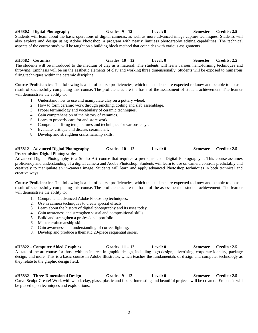**#H6802 – Digital Photography Grades: 9 – 12 Level: 0 Semester Credits: 2.5** Students will learn about the basic operations of digital cameras, as well as more advanced image capture techniques. Students will also explore and design using Adobe Photoshop, a program with nearly limitless photography editing capabilities. The technical aspects of the course study will be taught on a building block method that coincides with various assignments.

**#H6582 – Ceramics Grades: 10 – 12 Level: 0 Semester Credits: 2.5** The students will be introduced to the medium of clay as a material. The students will learn various hand-forming techniques and throwing. Emphasis will be on the aesthetic elements of clay and working three dimensionally. Students will be exposed to numerous firing techniques within the ceramic discipline.

**Course Proficiencies:** The following is a list of course proficiencies, which the students are expected to know and be able to do as a result of successfully completing this course. The proficiencies are the basis of the assessment of student achievement. The learner will demonstrate the ability to:

- 1. Understand how to use and manipulate clay on a pottery wheel.
- 2. How to form ceramic work through pinching, coiling and slab assemblage.
- 3. Proper terminology and vocabulary of ceramic techniques.
- 4. Gain comprehension of the history of ceramics.
- 5. Learn to properly care for and store work.
- 6. Comprehend firing temperatures and techniques for various clays.
- 7. Evaluate, critique and discuss ceramic art.
- 8. Develop and strengthen craftsmanship skills.

### **#H6812 – Advanced Digital Photography Grades: 10 – 12 Level: 0 Semester Credits: 2.5 Prerequisite: Digital Photography**

Advanced Digital Photography is a Studio Art course that requires a prerequisite of Digital Photography I. This course assumes proficiency and understanding of a digital camera and Adobe Photoshop. Students will learn to use on camera controls predictably and creatively to manipulate an in-camera image. Students will learn and apply advanced Photoshop techniques in both technical and creative ways.

**Course Proficiencies:** The following is a list of course proficiencies, which the students are expected to know and be able to do as a result of successfully completing this course. The proficiencies are the basis of the assessment of student achievement. The learner will demonstrate the ability to:

- 1. Comprehend advanced Adobe Photoshop techniques.
- 2. Use in camera techniques to create special effects.
- 3. Learn about the history of digital photography and its uses today.
- 4. Gain awareness and strengthen visual and compositional skills.
- 5. Build and strengthen a professional portfolio.
- 6. Master craftsmanship skills.
- 7. Gain awareness and understanding of correct lighting.
- 8. Develop and produce a thematic 20-piece sequential series.

**#H6822 – Computer Aided Graphics Grades: 11 – 12 Level: 0 Semester Credits: 2.5** A state of the art course for those with an interest in graphic design, including logo design, advertising, corporate identity, package design, and more. This is a basic course in Adobe Illustrator, which teaches the fundamentals of design and computer technology as they relate to the graphic design field.

**#H6832 – Three-Dimensional Design Grades: 9 – 12 Level: 0 Semester Credits: 2.5** Carve-Sculpt-Create! Work with wood, clay, glass, plastic and fibers. Interesting and beautiful projects will be created. Emphasis will be placed upon techniques and explorations.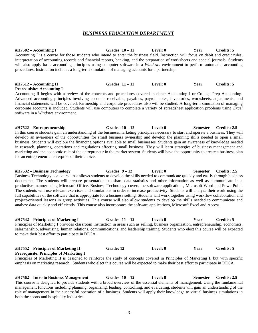# *BUSINESS EDUCATION DEPARTMENT*

#### **#H7502 – Accounting I Grades: 10 – 12 Level: 0 Year Credits: 5** Accounting I is a course for those students who intend to enter the business field. Instruction will focus on debit and credit rules, interpretation of accounting records and financial reports, banking, and the preparation of worksheets and special journals. Students will also apply basic accounting principles using computer software in a *Windows* environment to perform automated accounting procedures. Instruction includes a long-term simulation of managing accounts for a partnership.

#### **#H7512 – Accounting II Grades: 11 – 12 Level: 0 Year Credits: 5 Prerequisite: Accounting I**

Accounting II begins with a review of the concepts and procedures covered in either Accounting I or College Prep Accounting. Advanced accounting principles involving accounts receivable, payables, payroll notes, inventories, worksheets, adjustments, and financial statements will be covered. Partnership and corporate procedures also will be studied. A long-term simulation of managing corporate accounts is included. Students will use computers to complete a variety of spreadsheet application problems using *Excel* software in a *Windows* environment.

**#H7522 – Entrepreneurship Grades: 10 – 12 Level: 0 Semester Credits: 2.5** In this course students gain an understanding of the business/marketing principles necessary to start and operate a business. They will develop an awareness of the opportunities for small business ownership and develop the planning skills needed to open a small business. Students will explore the financing options available to small businesses. Students gain an awareness of knowledge needed in research, planning, operations and regulations affecting small business. They will learn strategies of business management and marketing and the economic role of the entrepreneur in the market system. Students will have the opportunity to create a business plan for an entrepreneurial enterprise of their choice.

**#H7532 – Business Technology Grades: 9 – 12 Level: 0 Semester Credits: 2.5** Business Technology is a course that allows students to develop the skills needed to communicate quickly and easily through business documents. The students will prepare presentations to share data statistics and other information as well as communicate in a productive manner using Microsoft Office. Business Technology covers the software applications, Microsoft Word and PowerPoint. The students will use relevant exercises and simulations in order to increase productivity. Students will analyze their work using the full capabilities of the software that is appropriate for a business setting. Students will work together using workflow collaboration and project-oriented lessons in group activities. This course will also allow students to develop the skills needed to communicate and analyze data quickly and efficiently. This course also incorporates the software applications, Microsoft Excel and Access.

**#H7542 – Principles of Marketing I Grades: 11 – 12 Level: 0 Year Credits: 5** Principles of Marketing I provides classroom instruction in areas such as selling, business organization, entrepreneurship, economics, salesmanship, advertising, human relations, communications, and leadership training. Students who elect this course will be expected to make their best effort to participate in DECA.

### **#H7552 – Principles of Marketing II Grade: 12 Level: 0 Year Credits: 5 Prerequisite: Principles of Marketing I**

Principles of Marketing II is designed to reinforce the study of concepts covered in Principles of Marketing I, but with specific emphasis on marketing research. Students who elect this course will be expected to make their best effort to participate in DECA.

**#H7562 – Intro to Business Management Grades: 10 – 12 Level: 0 Semester Credits: 2.5** This course is designed to provide students with a broad overview of the essential elements of management. Using the fundamental management functions including planning, organizing, leading, controlling, and evaluating, students will gain an understanding of the role of management in the successful operation of a business. Students will apply their knowledge to virtual business simulations in both the sports and hospitality industries.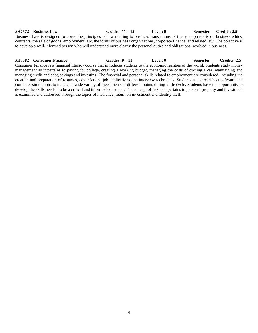#### **#H7572 – Business Law Grades: 11 – 12 Level: 0 Semester Credits: 2.5** Business Law is designed to cover the principles of law relating to business transactions. Primary emphasis is on business ethics, contracts, the sale of goods, employment law, the forms of business organizations, corporate finance, and related law. The objective is to develop a well-informed person who will understand more clearly the personal duties and obligations involved in business.

**#H7582 – Consumer Finance Grades: 9 – 11 Level: 0 Semester Credits: 2.5** Consumer Finance is a financial literacy course that introduces students to the economic realities of the world. Students study money management as it pertains to paying for college, creating a working budget, managing the costs of owning a car, maintaining and managing credit and debt, savings and investing. The financial and personal skills related to employment are considered, including the creation and preparation of resumes, cover letters, job applications and interview techniques. Students use spreadsheet software and computer simulations to manage a wide variety of investments at different points during a life cycle. Students have the opportunity to develop the skills needed to be a critical and informed consumer. The concept of risk as it pertains to personal property and investment is examined and addressed through the topics of insurance, return on investment and identity theft.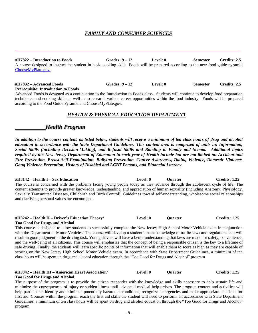## *FAMILY AND CONSUMER SCIENCES*

**#H7822 – Introduction to Foods Grades: 9 – 12 Level: 0 Semester Credits: 2.5** A course designed to instruct the student in basic cooking skills. Foods will be prepared according to the new food guide pyramid [ChooseMyPlate.gov.](https://www.choosemyplate.gov/)

# **#H7832 – Advanced Foods Grades: 9 – 12 Level: 0 Semester Credits: 2.5**

**Prerequisite: Introduction to Foods**

Advanced Foods is designed as a continuation to the Introduction to Foods class. Students will continue to develop food preparation techniques and cooking skills as well as to research various career opportunities within the food industry. Foods will be prepared according to the Food Guide Pyramid and ChooseMyPlate.gov.

# *HEALTH & PHYSICAL EDUCATION DEPARTMENT*

# *Health Program*

*In addition to the course content, as listed below, students will receive a minimum of ten class hours of drug and alcohol education in accordance with the State Department Guidelines. This content area is comprised of units in: Information, Social Skills (including Decision-Making), and Refusal Skills and Bonding to Family and School. Additional topics required by the New Jersey Department of Education in each year of Health include but are not limited to: Accident and Fire Prevention, Breast Self-Examination, Bullying Prevention, Cancer Awareness, Dating Violence, Domestic Violence, Gang Violence Prevention, History of Disabled and LGBT Persons, and Financial Literacy.*

**#H8142 – Health I – Sex Education Level: 0 Quarter Credits: 1.25** The course is concerned with the problems facing young people today as they advance through the adolescent cycle of life. The content attempts to provide greater knowledge, understanding, and appreciation of human sexuality (including Anatomy, Physiology, Sexually Transmitted Diseases, Childbirth and Birth Control). Guidelines toward self-understanding, wholesome social relationships and clarifying personal values are encouraged.

#### **#H8242 – Health II – Driver's Education Theory/ Level: 0 Quarter Credits: 1.25 Too Good for Drugs and Alcohol**

This course is designed to allow students to successfully complete the New Jersey High School Motor Vehicle exam in conjunction with the Department of Motor Vehicles. The course will develop a student's basic knowledge of traffic laws and regulations that will result in good judgment in the driving task. Young drivers will have a better understanding that laws are made for safety, convenience, and the well-being of all citizens. This course will emphasize that the concept of being a responsible citizen is the key to a lifetime of safe driving. Finally, the students will learn specific points of information that will enable them to score as high as they are capable of scoring on the New Jersey High School Motor Vehicle exam. In accordance with State Department Guidelines, a minimum of ten class hours will be spent on drug and alcohol education through the "Too Good for Drugs and Alcohol" program.

#### **#H8342 – Health III – American Heart Association/ Level: 0 Quarter Credits: 1.25 Too Good for Drugs and Alcohol**

The purpose of the program is to provide the citizen responder with the knowledge and skills necessary to help sustain life and minimize the consequences of injury or sudden illness until advanced medical help arrives. The program content and activities will help participants identify and eliminate potentially hazardous conditions, recognize emergencies and make appropriate decisions for first aid. Courses within the program reach the first aid skills the student will need to perform. In accordance with State Department Guidelines, a minimum of ten class hours will be spent on drug and alcohol education through the "Too Good for Drugs and Alcohol" program.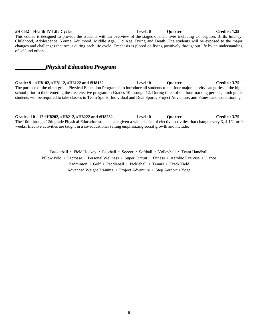#### **#H8442 – Health IV Life Cycles Level: 0 Quarter Credits: 1.25** This course is designed to provide the students with an overview of the stages of their lives including Conception, Birth, Infancy, Childhood, Adolescence, Young Adulthood, Middle Age, Old Age, Dying and Death. The students will be exposed to the major changes and challenges that occur during each life cycle. Emphasis is placed on living positively throughout life by an understanding of self and others.

# *Physical Education Program*

**Grade: 9 – #H8102, #H8112, #H8122 and #H8132 Level: 0 Quarter Credits: 3.75** The purpose of the ninth-grade Physical Education Program is to introduce all students to the four major activity categories at the high school prior to their entering the free elective program in Grades 10 through 12. During three of the four marking periods, ninth grade students will be required to take classes in Team Sports, Individual and Dual Sports, Project Adventure, and Fitness and Conditioning.

**Grades: 10 – 12 #H8202, #H8212, #H8222 and #H8232 Level: 0 Quarter Credits: 3.75** The 10th through 12th grade Physical Education students are given a wide choice of elective activities that change every 3, 4 1/2, or 9 weeks. Elective activities are taught in a co-educational setting emphasizing social growth and include:

> Basketball • Field Hockey • Football • Soccer • Softball • Volleyball • Team Handball Pillow Polo • Lacrosse • Personal Wellness • Super Circuit • Fitness • Aerobic Exercise • Dance Badminton • Golf • Paddleball • Pickleball • Tennis • Track/Field Advanced Weight Training • Project Adventure • Step Aerobic • Yoga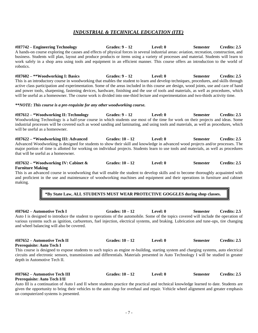# *INDUSTRIAL & TECHNICAL EDUCATION (ITE)*

**#H7742 – Engineering Technology Grades: 9 – 12 Level: 0 Semester Credits: 2.5** A hands-on course exploring the causes and effects of physical forces in several industrial areas: aviation, recreation, construction, and business. Students will plan, layout and produce products or items using a variety of processes and material. Students will learn to work safely in a shop area using tools and equipment in an efficient manner. This course offers an introduction to the world of robotics.

**#H7602 – \*\*Woodworking I: Basics Grades: 9 – 12 Level: 0 Semester Credits: 2.5** This is an introductory course in woodworking that enables the student to learn and develop techniques, procedures, and skills through active class participation and experimentation. Some of the areas included in this course are design, wood joints, use and care of hand and power tools, sharpening, fastening devices, hardware, finishing and the use of tools and materials, as well as procedures, which will be useful as a homeowner. The course work is divided into one-third lecture and experimentation and two-thirds activity time.

#### *\*\*NOTE: This course is a pre-requisite for any other woodworking course.*

**#H7612 – \*Woodworking II: Technology Grades: 9 – 12 Level: 0 Semester Credits: 2.5** Woodworking Technology is a half-year course in which students use most of the time for work on their projects and ideas. Some industrial processes will be covered such as wood sanding and laminating, and using tools and materials, as well as procedures, which will be useful as a homeowner.

**#H7622 – \*Woodworking III: Advanced Grades: 10 – 12 Level: 0 Semester Credits: 2.5** Advanced Woodworking is designed for students to show their skill and knowledge in advanced wood projects and/or processes. The major portion of time is allotted for working on individual projects. Students learn to use tools and materials, as well as procedures that will be useful as a homeowner.

#### **#H7632 – \*Woodworking IV: Cabinet & Grades: 10 – 12 Level: 0 Semester Credits: 2.5 Furniture Making**

This is an advanced course in woodworking that will enable the student to develop skills and to become thoroughly acquainted with and proficient in the use and maintenance of woodworking machines and equipment and their operations in furniture and cabinet making.

# **\*By State Law, ALL STUDENTS MUST WEAR PROTECTIVE GOGGLES during shop classes.**

**#H7642 – Automotive Tech I Grades: 10 – 12 Level: 0 Semester Credits: 2.5** Auto I is designed to introduce the student to operations of the automobile. Some of the topics covered will include the operation of various systems such as ignition, carburetors, fuel injection, electrical systems, and braking. Lubrication and tune-ups, tire changing and wheel balancing will also be covered.

#### **#H7652 – Automotive Tech II Grades: 10 – 12 Level: 0 Semester Credits: 2.5 Prerequisite: Auto Tech I**

This course is designed to expose students to such topics as engine re-building, starting system and charging systems, auto electrical circuits and electronic sensors, transmissions and differentials. Materials presented in Auto Technology I will be studied in greater depth in Automotive Tech II.

#### **#H7662 – Automotive Tech III Grades: 10 – 12 Level: 0 Semester Credits: 2.5 Prerequisite: Auto Tech I/II**

Auto III is a continuation of Auto I and II where students practice the practical and technical knowledge learned to date. Students are given the opportunity to bring their vehicles to the auto shop for overhaul and repair. Vehicle wheel alignment and greater emphasis on computerized systems is presented.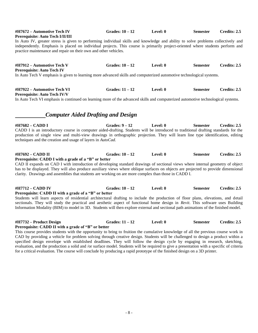# **#H7672 – Automotive Tech IV Grades: 10 – 12 Level: 0 Semester Credits: 2.5 Prerequisite: Auto Tech I/II/III** In Auto IV, greater stress is given to performing individual skills and knowledge and ability to solve problems collectively and independently. Emphasis is placed on individual projects. This course is primarily project-oriented where students perform and practice maintenance and repair on their own and other vehicles. **#H7912 – Automotive Tech V Grades: 10 – 12 Level: 0 Semester Credits: 2.5 Prerequisite: Auto Tech IV** In Auto Tech V emphasis is given to learning more advanced skills and computerized automotive technological systems. **#H7922 – Automotive Tech VI Grades: 11 – 12 Level: 0 Semester Credits: 2.5 Prerequisite: Auto Tech IV/V** In Auto Tech VI emphasis is continued on learning more of the advanced skills and computerized automotive technological systems. *Computer Aided Drafting and Design* **#H7682 – CADD I Grades: 9 – 12 Level: 0 Semester Credits: 2.5** CADD I is an introductory course in computer aided-drafting. Students will be introduced to traditional drafting standards for the production of single view and multi-view drawings in orthographic projection. They will learn line type identification, editing techniques and the creation and usage of layers in *AutoCad.* **#H7692 – CADD II Grades: 10 – 12 Level: 0 Semester Credits: 2.5 Prerequisite: CADD I with a grade of a "B" or better** CAD II expands on CAD I with introduction of developing standard drawings of sectional views where internal geometry of object has to be displayed. They will also produce auxiliary views where oblique surfaces on objects are projected to provide dimensional clarity. Drawings and assemblies that students are working on are more complex than those in CADD I. **#H7712 – CADD IV Grades: 10 – 12 Level: 0 Semester Credits: 2.5 Prerequisite: CADD II with a grade of a "B" or better** Students will learn aspects of residential architectural drafting to include the production of floor plans, elevations, and detail sectionals. They will study the practical and aesthetic aspect of functional home design in *Revit*. This software uses Building Information Modality (BIM) to model in 3D. Students will then explore external and sectional path animations of the finished model. **#H7732 – Product Design Grades: 11 – 12 Level: 0 Semester Credits: 2.5 Prerequisite: CADD II with a grade of "B" or better** This course provides students with the opportunity to bring to fruition the cumulative knowledge of all the previous course work in

CAD by providing a vehicle for problem solving through creative design. Students will be challenged to design a product within a specified design envelope with established deadlines. They will follow the design cycle by engaging in research, sketching, evaluation, and the production a solid and /or surface model. Students will be required to give a presentation with a specific of criteria for a critical evaluation. The course will conclude by producing a rapid prototype of the finished design on a 3D printer.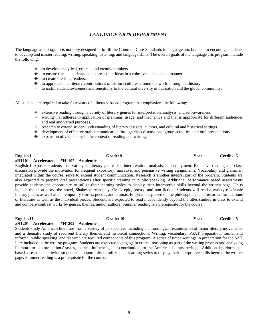# *LANGUAGE ARTS DEPARTMENT*

The language arts program is not only designed to fulfill the Common Core Standards in language arts but also to encourage students to develop and master reading, writing, speaking, listening, and language skills. The overall goals of the language arts program include the following:

- $\triangleleft$  to develop analytical, critical, and creative thinkers.
- $\ddot{\bullet}$ to ensure that all students can express their ideas in a cohesive and succinct manner.
- $\ddot{\bullet}$ to create life-long readers.
- $\bullet$  to appreciate the literary contributions of distinct cultures around the world throughout history.
- $\bullet$  to instill student awareness and sensitivity to the cultural diversity of our nation and the global community.

All students are required to take four years of a literacy-based program that emphasizes the following:

- extensive reading through a variety of literary genres for interpretation, analysis, and self-awareness.
- writing that adheres to application of grammar, usage, and mechanics and that is appropriate for different audiences and real and varied purposes.
- research to extend student understanding of literary insights, authors, and cultural and historical settings.  $\ddot{\bullet}$
- development of effective oral communication through class discussions, group activities, and oral presentations.
- $\bullet$  expansion of vocabulary in the context of reading and writing.

#### **English I Grade: 9 Year Credits: 5 #H1101 – Accelerated #H1102 – Academic**

English I exposes students to a variety of literary genres for interpretation, analysis, and enjoyment. Extensive reading and class discussion provide the motivation for frequent expository, narrative, and persuasive writing assignments. Vocabulary and grammar, integrated within the course, serve to extend student communication. Research is another integral part of the program. Students are also expected to prepare oral presentations after specific training in public speaking. Additional performance based assessments provide students the opportunity to utilize their learning styles to display their interpretive skills beyond the written page. Units include the short story, the novel, Shakespearean play, Greek epic, poetry, and non-fiction. Students will read a variety of classic literary pieces as well as contemporary stories, poems, and dramas. Emphasis is placed on the philosophical and historical foundations of literature as well as the individual pieces. Students are expected to read independently beyond the titles studied in class to extend and compare/contrast works by genres, themes, and/or authors. Summer reading is a prerequisite for the course.

#### **#H1201 – Accelerated #H1202 – Academic**

Students study American literature from a variety of perspectives including a chronological examination of major literary movements and a thematic study of recurrent literary themes and historical connections. Writing, vocabulary, PSAT preparation, formal and informal public speaking, and research are required components of this program. A series of timed writings in preparation for the SAT I are included in the writing program. Students are expected to engage in critical reasoning as part of the writing process and analyzing literature to explore authors' styles, themes, influences, and contributions to the American literary heritage. Additional performance based assessments provide students the opportunity to utilize their learning styles to display their interpretive skills beyond the written page**.** Summer reading is a prerequisite for the course.

**English II Grade: 10 Year Credits: 5**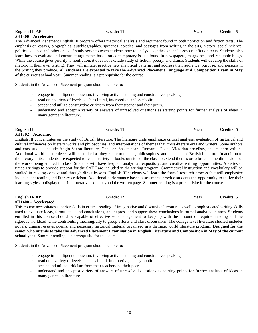### - 10 -

# **English III AP Grade: 11 Year Credits: 5**

The Advanced Placement English III program offers rhetorical analysis and argument found in both nonfiction and fiction texts. The emphasis on essays, biographies, autobiographies, speeches, epistles, and passages from writing in the arts, history, social science, politics, science and other areas of study serve to teach students how to analyze, synthesize, and assess nonfiction texts. Students also learn how to evaluate and construct arguments based on contemporary issues found in newspapers, magazines, and reputable blogs. While the course gives priority to nonfiction, it does not exclude study of fiction, poetry, and drama. Students will develop the skills of rhetoric in their own writing. They will imitate, practice new rhetorical patterns, and address their audience, purpose, and persona in the writing they produce**. All students are expected to take the Advanced Placement Language and Composition Exam in May** 

Students in the Advanced Placement program should be able to:

- engage in intelligent discussion, involving active listening and constructive speaking.
- read on a variety of levels, such as literal, interpretive, and symbolic.
- accept and utilize constructive criticism from their teacher and their peers.
- understand and accept a variety of answers of unresolved questions as starting points for further analysis of ideas in many genres in literature.

**#H1302 – Academic** English III concentrates on the study of British literature. The literature units emphasize critical analysis, evaluation of historical and cultural influences on literary works and philosophies, and interpretations of themes that cross-literary eras and writers. Some authors and eras studied include Anglo-Saxon literature, Chaucer, Shakespeare, Romantic Poets, Victorian novelists, and modern writers. Additional world masterpieces will be studied as they relate to themes, philosophies, and concepts of British literature. In addition to the literary units, students are expected to read a variety of books outside of the class to extend themes or to broaden the dimensions of the works being studied in class. Students will have frequent analytical, expository, and creative writing opportunities. A series of timed writings to provide support for the SAT I are included in the writing program. Grammatical instruction and vocabulary will be studied in reading context and through direct lessons. English III students will learn the formal research process that will emphasize independent reading and literary criticism. Additional performance based assessments provide students the opportunity to utilize their learning styles to display their interpretative skills beyond the written page. Summer reading is a prerequisite for the course.

**English IV AP Grade: 12 Grade: 12 Year Credits: 5 #H1400 – Accelerated**

This course necessitates superior skills in critical reading of imaginative and discursive literature as well as sophisticated writing skills used to evaluate ideas, formulate sound conclusions, and express and support these conclusions in formal analytical essays. Students enrolled in this course should be capable of effective self-management to keep up with the amount of required reading and the rigorous workload while contributing meaningfully to group efforts and class discussions. The college level literature studied includes novels, dramas, essays, poems, and necessary historical material organized in a thematic world literature program. **Designed for the senior who intends to take the Advanced Placement Examination in English Literature and Composition in May of the current school year.** Summer reading is a prerequisite for the course.

Students in the Advanced Placement program should be able to:

- $\sim$  engage in intelligent discussion, involving active listening and constructive speaking.
- $\sim$  read on a variety of levels, such as literal, interpretive, and symbolic.
- accept and utilize criticism from their teacher and their peers.
- understand and accept a variety of answers of unresolved questions as starting points for further analysis of ideas in many genres in literature.

**of the current school year.** Summer reading is a prerequisite for the course.

# **#H1300 – Accelerated**

**English III Grade: 11 Year Credits: 5**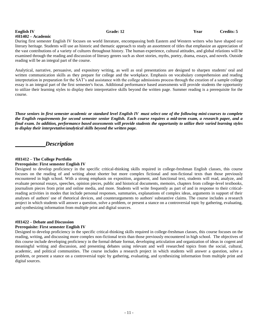# **#H1402 – Academic**

**English IV Grade: 12 Grade: 12 Sear Credits: 5** 

During first semester English IV focuses on world literature, encompassing both Eastern and Western writers who have shaped our literary heritage. Students will use an historic and thematic approach to study an assortment of titles that emphasize an appreciation of the vast contributions of a variety of cultures throughout history. The human experience, cultural attitudes, and global relations will be examined through the reading and discussion of literary genres such as short stories, myths, poetry, drama, essays, and novels. Outside reading will be an integral part of the course.

Analytical, narrative, persuasive, and expository writing, as well as oral presentations are designed to sharpen students' oral and written communication skills as they prepare for college and the workplace. Emphasis on vocabulary comprehension and reading interpretation in preparation for the SAT's and assistance with the college admissions process through the creation of a sample college essay is an integral part of the first semester's focus. Additional performance based assessments will provide students the opportunity to utilize their learning styles to display their interpretative skills beyond the written page. Summer reading is a prerequisite for the course.

*Those seniors in first semester academic or standard level English IV must select one of the following mini-courses to complete the English requirements for second semester senior English. Each course requires a mid-term exam, a research paper, and a final exam. In addition, performance based assessments will provide students the opportunity to utilize their varied learning styles to display their interpretative/analytical skills beyond the written page.*

*Description*

#### **#H1412 – The College Portfolio**

#### **Prerequisite: First semester English IV**

Designed to develop proficiency in the specific critical-thinking skills required in college-freshman English classes, this course focuses on the reading of and writing about shorter but more complex fictional and non-fictional texts than those previously encountered in high school. With a strong emphasis on exposition, argument, and functional text, students will read, analyze, and evaluate personal essays, speeches, opinion pieces, public and historical documents, memoirs, chapters from college-level textbooks, journalism pieces from print and online media, and more. Students will write frequently as part of and in response to their criticalreading activities in modes that include personal responses, summaries, explanations of complex ideas, arguments in support of their analyses of authors' use of rhetorical devices, and counterarguments to authors' substantive claims. The course includes a research project in which students will answer a question, solve a problem, or present a stance on a controversial topic by gathering, evaluating, and synthesizing information from multiple print and digital sources.

# **#H1422 – Debate and Discussion**

### **Prerequisite: First semester English IV**

Designed to develop proficiency in the specific critical-thinking skills required in college-freshman classes, this course focuses on the reading, writing, and discussing more complex non-fictional texts than those previously encountered in high school. The objectives of this course include developing proficiency in the formal debate format, developing articulation and organization of ideas in cogent and meaningful writing and discussion, and presenting debates using relevant and well researched topics from the social, cultural, academic, and political communities. The course includes a research project in which students will answer a question, solve a problem, or present a stance on a controversial topic by gathering, evaluating, and synthesizing information from multiple print and digital sources.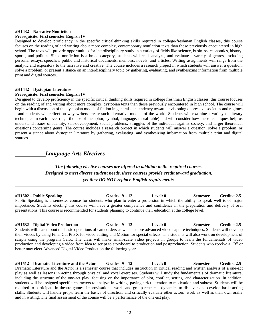#### **#H1432 – Narrative Nonfiction**

#### **Prerequisite: First semester English IV**

Designed to develop proficiency in the specific critical-thinking skills required in college-freshman English classes, this course focuses on the reading of and writing about more complex, contemporary nonfiction texts than those previously encountered in high school. The texts will provide opportunities for interdisciplinary study in a variety of fields like science, business, economics, history, sports, and politics. Since nonfiction is a broad category, students will read, analyze, and evaluate a variety of genres, including personal essays, speeches, public and historical documents, memoirs, novels, and articles. Writing assignments will range from the analytic and expository to the narrative and creative. The course includes a research project in which students will answer a question, solve a problem, or present a stance on an interdisciplinary topic by gathering, evaluating, and synthesizing information from multiple print and digital sources.

### **#H1442 – Dystopian Literature**

#### **Prerequisite: First semester English IV**

Designed to develop proficiency in the specific critical thinking skills required in college freshman English classes, this course focuses on the reading of and writing about more complex, dystopian texts than those previously encountered in high school. The course will begin with a discussion of the dystopian model of fiction in general - its tendency toward envisioning oppressive societies and regimes - and students will reflect on why writers create such alternative models of the world. Students will examine a variety of literary techniques in each novel (e.g., the use of metaphor, symbol, language, moral fable) and will consider how these techniques help us understand issues of identity, self-development, social problems, struggles of the individual against society, and larger theoretical questions concerning genre. The course includes a research project in which students will answer a question, solve a problem, or present a stance about dystopian literature by gathering, evaluating, and synthesizing information from multiple print and digital sources.

# *Language Arts Electives*

# *The following elective courses are offered in addition to the required courses. Designed to meet diverse student needs, these courses provide credit toward graduation, yet they DO NOT replace English requirements.*

**#H1502 – Public Speaking Grades: 9 – 12 Level: 0 Semester Credits: 2.5** Public Speaking is a semester course for students who plan to enter a profession in which the ability to speak well is of major importance. Students electing this course will have a greater competence and confidence in the preparation and delivery of oral presentations. This course is recommended for students planning to continue their education at the college level.

#### **#H1632 – Digital Video Production Grades: 9 – 12 Level: 0 Semester Credits: 2.5**

Students will learn about the basic operations of camcorders as well as more advanced video capture techniques. Students will develop their videos by using Final Cut Pro X for video editing and Motion for special effects. The students will also work on development of scripts using the program Celtx. The class will make small-scale video projects in groups to learn the fundamentals of video production and developing a video from idea to script to storyboard to production and postproduction. Students who receive a "B" or better may elect Advanced Digital Video Production the following year.

**#H1512 – Dramatic Literature and the Actor Grades: 9 – 12 Level: 0 Semester Credits: 2.5** Dramatic Literature and the Actor is a semester course that includes instruction in critical reading and written analysis of a one-act play as well as lessons in acting through physical and vocal exercises. Students will study the fundamentals of dramatic literature, including the structure of the one-act play, focusing on the importance of plot, conflict, setting, and characterization. In addition, students will be assigned specific characters to analyze in writing, paying strict attention to motivation and subtext. Students will be required to participate in theatre games, improvisational work, and group rehearsal dynamics to discover and develop basic acting skills. Students will handle props, learn the basics of direction, and critically evaluate other actors' work as well as their own orally and in writing. The final assessment of the course will be a performance of the one-act play.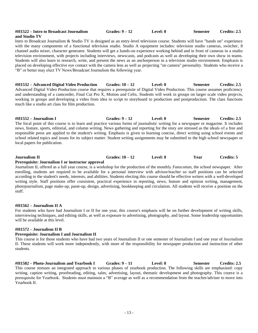#### **#H1522 – Intro to Broadcast Journalism Grades: 9 – 12 Level: 0 Semester Credits: 2.5 and Studio TV**

Intro to Broadcast Journalism & Studio TV is designed as an entry-level television course. Students will have "hands on" experience with the many components of a functional television studio. Studio A equipment includes: television studio cameras, switcher, 8 channel audio mixer, character generator. Students will get a hands-on experience working behind and in front of cameras in a studio television environment, with projects including interviews, newscasts, and podcasts as well as developing their own show in teams. Students will also learn to research, write, and present the news as an anchorperson in a television studio environment. Emphasis is placed on developing effective eye contact with the camera lens as well as projecting "on camera" personality. Students who receive a "B" or better may elect TV News/Broadcast Journalism the following year.

**#H1532 – Advanced Digital Video Production Grades: 10 – 12 Level: 0 Semester Credits: 2.5** Advanced Digital Video Production course that requires a prerequisite of Digital Video Production. This course assumes proficiency and understanding of a camcorder, Final Cut Pro X, Motion and Celtx. Students will work in groups on larger scale video projects, working in groups and developing a video from idea to script to storyboard to production and postproduction. The class functions much like a studio art class for film production.

**#H1552 – Journalism I Grades: 9 – 12 Level: 0 Semester Credits: 2.5** The focal point of this course is to learn and practice various forms of journalistic writing for a newspaper or magazine. It includes news, feature, sports, editorial, and column writing. News gathering and reporting for the story are stressed as the ideals of a free and responsible press are applied to the student's writing. Emphasis is given to learning concise, direct writing using school events and school related topics and issues for its subject matter. Student writing assignments may be submitted to the high school newspaper or local papers for publication.

# **Journalism II Grades: 10 – 12 Level: 0 Year Credits: 5**

#### **Prerequisite: Journalism I or instructor approval**

Journalism II, offered as a full year course, is a workshop for the production of the monthly *Fanscotian*, the school newspaper. After enrolling, students are required to be available for a personal interview with advisor/teacher so staff positions can be selected according to the student's needs, interests, and abilities. Students electing this course should be effective writers with a well-developed writing style. Staff positions offer consistent, practical experience in reporting, news, feature and opinion writing, management, photojournalism, page make-up, paste-up, design, advertising, bookkeeping and circulation. All students will receive a position on the staff.

#### **#H1562 – Journalism II A**

For students who have had Journalism I or II for one year, this course's emphasis will be on further development of writing skills, interviewing techniques, and editing skills, as well as exposure to advertising, photography, and layout. Some leadership opportunities will be available at this level.

#### **#H1572 – Journalism II B**

#### **Prerequisite: Journalism I and Journalism II**

This course is for those students who have had two years of Journalism II or one semester of Journalism I and one year of Journalism II. These students will work more independently, with more of the responsibility for newspaper production and instruction of other students.

**#H1582 – Photo-Journalism and Yearbook I Grades: 9 – 11 Level: 0 Semester Credits: 2.5** This course stresses an integrated approach to various phases of yearbook production. The following skills are emphasized: copy writing, caption writing, proofreading, editing, sales, advertising, layout, thematic development and photography. This course is a prerequisite for Yearbook. Students must maintain a "B" average as well as a recommendation from the teacher/adviser to move into Yearbook II.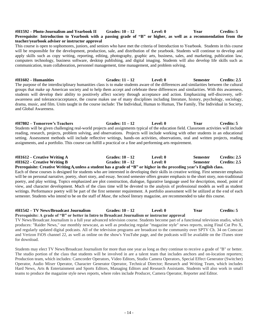#### **#H1592 – Photo-Journalism and Yearbook II Grades: 10 – 12 Level: 0 Year Credits: 5 Prerequisite**: **Introduction to Yearbook with a passing grade of "B" or higher, as well as a recommendation from the teacher/yearbook adviser or instructor approval**

This course is open to sophomores, juniors, and seniors who have met the criteria of Introduction to Yearbook. Students in this course will be responsible for the development, production, sale, and distribution of the yearbook. Students will continue to develop and apply skills such as copy writing, reporting, editing, photography, graphic arts, business, sales, and marketing, publication law, computers technology, business software, desktop publishing, and digital imaging. Students will also develop life skills such as communication, team collaboration, personnel management, time management, and problem solving.

**#H1602 – Humanities Grades: 11 – 12 Level: 0 Semester Credits: 2.5** The purpose of the interdisciplinary humanities class is to make students aware of the differences and similarities between the cultural groups that make up American society and to help them accept and celebrate these differences and similarities. With this awareness, students will develop their ability to positively affect society through acceptance and action. Emphasizing self-discovery, selfawareness and tolerance/acceptance, the course makes use of many disciplines including literature, history, psychology, sociology, drama, music, and film. Units taught in the course include: The Individual, Human to Human, The Family, The Individual in Society, and Global Awareness.

**#H7802 – Tomorrow's Teachers Grades: 11 – 12 Level: 0 Year Credits: 5** Students will be given challenging real-world projects and assignments typical of the education field. Classroom activities will include reading, research, projects, problem solving, and observations. Projects will include working with other students in an educational setting. Assessment methods will include reflective writings, hands-on activities, observations, oral and written projects, reading assignments, and a portfolio. This course can fulfill a practical or a fine and performing arts requirement.

# **#H1612 – Creative Writing A Grades: 10 – 12 Level: 0 Semester Credits: 2.5 #H1622 – Creative Writing B Grades: 10 – 12 Level: 0 Semester Credits: 2.5**

**Prerequisite: Creative Writing A,unless a student has a grade of "B" or higher in the preceding year's English class.** Each of these courses is designed for students who are interested in developing their skills in creative writing. First semester emphasis will be on personal narrative, poetry, short story, and essay. Second semester offers greater emphasis to the short story, non-traditional poetry, and play writing. Topics emphasized are plot construction, dialogue, figurative language used for description, mood, point of view, and character development. Much of the class time will be devoted to the analysis of professional models as well as student writings. Performance poetry will be part of the first semester requirement. A portfolio assessment will be utilized at the end of each semester. Students who intend to be on the staff of *Muse*, the school literary magazine, are recommended to take this course.

#### **#H1542 – TV News/Broadcast Journalism Grades: 10 – 12 Level: 0 Year Credits: 5 Prerequisite: A grade of "B" or better in Intro to Broadcast Journalism or instructor approval**

TV News/Broadcast Journalism is a full year advanced television course. Students become part of a functional television studio, which produces: "Raider News," our monthly newscast, as well as producing regular "magazine style" news reports, using Final Cut Pro X, and regularly updated digital podcasts. All of the television programs are broadcast to the community over SPTV Ch. 34 on Comcast and Verizon FiOS channel 22, as well as online on the show's YouTube page, and the podcasts will be available on the iTunes store for download.

Students may elect TV News/Broadcast Journalism for more than one year as long as they continue to receive a grade of "B" or better. The studio portion of the class that students will be involved in are a talent team that includes anchors and on-location reporters; Production team, which includes: Camcorder Operators, Video Editors, Studio Camera Operators, Special Effect Generator (Switcher) Operator, Audio Mixer Operator, Character Generator Operator, Technical Director; Research and Writing Team, which includes Hard News, Arts & Entertainment and Sports Editors, Managing Editors and Research Assistants. Students will also work in small teams to produce the magazine style news reports, where roles include Producer, Camera Operator, Reporter and Editor.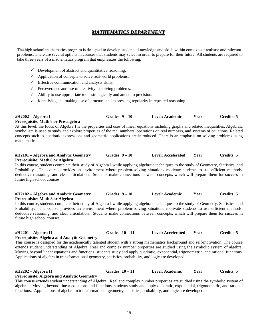# *MATHEMATICS DEPARTMENT*

The high school mathematics program is designed to develop students' knowledge and skills within contexts of realistic and relevant problems. There are several options in courses that students may select in order to prepare for their future. All students are required to take three years of a mathematics program that emphasizes the following:

- $\checkmark$  Development of abstract and quantitative reasoning.
- $\checkmark$  Application of concepts to solve real-world problems.
- $\checkmark$  Effective communication and analysis skills.
- $\checkmark$  Perseverance and use of creativity in solving problems.
- $\checkmark$  Ability to use appropriate tools strategically and attend to precision.
- $\checkmark$  Identifying and making use of structure and expressing regularity in repeated reasoning.

| #H2002 - Algebra I                            | Grades: $9-10$ | Level: Academic | Year | Credits: 5 |
|-----------------------------------------------|----------------|-----------------|------|------------|
| <b>Dramanisita: Math &amp; an Dra algabra</b> |                |                 |      |            |

### **Prerequisite: Math 8 or Pre-algebra**

At this level, the focus of Algebra I is the properties and uses of linear equations including graphs and related inequalities. Algebraic symbolism is used to study and explore properties of the real numbers, operations on real numbers, and systems of equations. Related concepts such as quadratic expressions and geometric applications are introduced. There is an emphasis on solving problems using mathematics.

#### **#H2101 – Algebra and Analytic Geometry Grades: 9 – 10 Level: Accelerated Year Credits: 5 Prerequisite: Math 8 or Algebra**

In this course, students complete their study of Algebra I while applying algebraic techniques to the study of Geometry, Statistics, and Probability. The course provides an environment where problem-solving situations motivate students to use efficient methods, deductive reasoning, and clear articulation. Students make connections between concepts, which will prepare them for success in future high school courses.

#### **#H2102 – Algebra and Analytic Geometry Grades: 9 – 10 Level: Academic Year Credits: 5 Prerequisite: Math 8 or Algebra**

In this course, students complete their study of Algebra I while applying algebraic techniques to the study of Geometry, Statistics, and Probability. The course provides an environment where problem-solving situations motivate students to use efficient methods, deductive reasoning, and clear articulation. Students make connections between concepts, which will prepare them for success in future high school courses.

#### **#H2201 – Algebra II Grades: 10 – 11 Level: Accelerated Year Credits: 5**

### **Prerequisite: Algebra and Analytic Geometry**

This course is designed for the academically talented student with a strong mathematics background and self-motivation. The course extends student understanding of Algebra. Real and complex number properties are studied using the symbolic system of algebra. Moving beyond linear equations and functions, students study and apply quadratic, exponential, trigonometric, and rational functions. Applications of algebra in transformational geometry, statistics, probability, and logic are developed.

# **#H2202 – Algebra II Grades: 10 – 11 Level: Academic Year Credits: 5**

#### **Prerequisite**: **Algebra and Analytic Geometry**

This course extends student understanding of Algebra. Real and complex number properties are studied using the symbolic system of algebra. Moving beyond linear equations and functions, students study and apply quadratic, exponential, trigonometric, and rational functions. Applications of algebra in transformational geometry, statistics, probability, and logic are developed.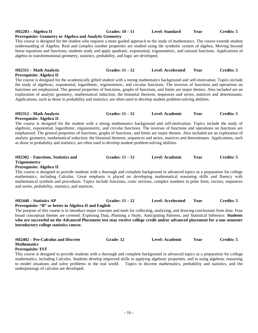# **#H2203 – Algebra II Grades: 10 – 11 Level: Standard Year Credits: 5**

#### **Prerequisite: Geometry or Algebra and Analytic Geometry**

This course is designed for the student who requires a more guided approach to the study of mathematics. The course extends student understanding of Algebra. Real and complex number properties are studied using the symbolic system of algebra. Moving beyond linear equations and functions, students study and apply quadratic, exponential, trigonometric, and rational functions. Applications of algebra in transformational geometry, statistics, probability, and logic are developed.

#### **#H2311 – Math Analysis Grades: 11 – 12 Level: Accelerated Year Credits: 5 Prerequisite: Algebra II**

The course is designed for the academically gifted student with a strong mathematics background and self-motivation. Topics include the study of algebraic, exponential, logarithmic, trigonometric, and circular functions. The inverses of functions and operations on functions are emphasized. The general properties of functions, graphs of functions, and limits are major themes. Also included are an exploration of analytic geometry, mathematical induction, the binomial theorem, sequences and series, matrices and determinants. Applications, such as those in probability and statistics, are often used to develop student problem-solving abilities.

#### **#H2312 – Math Analysis Grades: 11 – 12 Level: Academic Year Credits: 5 Prerequisite: Algebra II**

The course is designed for the student with a strong mathematics background and self-motivation. Topics include the study of algebraic, exponential, logarithmic, trigonometric, and circular functions. The inverses of functions and operations on functions are emphasized. The general properties of functions, graphs of functions, and limits are major themes. Also included are an exploration of analytic geometry, mathematical induction, the binomial theorem, sequences and series, matrices and determinants. Applications, such as those in probability and statistics, are often used to develop student problem-solving abilities.

| $\#H2302$ – Functions, Statistics and | Grades: $11 - 12$ | Level: Academic | Year | Credits: 5 |
|---------------------------------------|-------------------|-----------------|------|------------|
| <b>Trigonometry</b>                   |                   |                 |      |            |

#### **Prerequisite: Algebra II**

This course is designed to provide students with a thorough and complete background in advanced topics as a preparation for college mathematics, including Calculus. Great emphasis is placed on developing mathematical reasoning skills and fluency with mathematical symbols and procedures. Topics include functions, conic sections, complex numbers in polar form, vectors, sequences and series, probability, statistics, and matrices.

#### **#H2440 – Statistics AP Grades: 11 – 12 Level: Accelerated Year Credits: 5**

## **Prerequisite: "B" or better in Algebra II and English**

The purpose of this course is to introduce major concepts and tools for collecting, analyzing, and drawing conclusions from data. Four broad conceptual themes are covered: Exploring Data, Planning a Study, Anticipating Patterns, and Statistical Inference. **Students who are successful on the Advanced Placement test may receive college credit and/or advanced placement for a one-semester introductory college statistics course.**

| #H2402 – Pre-Calculus and Discrete | <b>Grade: 12</b> | Level: Academic | Year | Credits: 5 |
|------------------------------------|------------------|-----------------|------|------------|
| <b>Mathematics</b>                 |                  |                 |      |            |
| <b>Prerequisite: FST</b>           |                  |                 |      |            |

This course is designed to provide students with a thorough and complete background in advanced topics as a preparation for college mathematics, including Calculus. Students develop improved skills in applying algebraic properties, and in using algebraic reasoning to model situations and solve problems in the real world. Topics in discrete mathematics, probability and statistics, and the underpinnings of calculus are developed.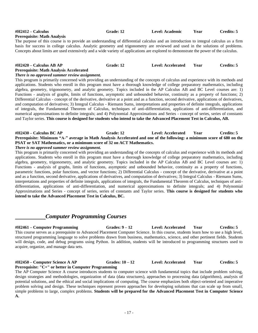| #H2412 – Calculus                  | Grade: 12 | Level: Academic | Year | Credits: 5 |
|------------------------------------|-----------|-----------------|------|------------|
| <b>Prerequisite: Math Analysis</b> |           |                 |      |            |

The purpose of this course is to provide an understanding of differential calculus and an introduction to integral calculus as a firm basis for success in college calculus. Analytic geometry and trigonometry are reviewed and used in the solutions of problems. Concepts about limits are used extensively and a wide variety of applications are explored to demonstrate the power of the calculus.

#### **#H2420 – Calculus AB AP Grade: 12 Level: Accelerated Year Credits: 5**

#### **Prerequisite: Math Analysis Accelerated** *There is no approved summer review assignment.*

This program is primarily concerned with providing an understanding of the concepts of calculus and experience with its methods and applications. Students who enroll in this program must have a thorough knowledge of college preparatory mathematics, including algebra, geometry, trigonometry, and analytic geometry. Topics included in the AP Calculus AB and BC Level courses are: 1) Functions - analysis of graphs, limits of functions, asymptotic and unbounded behavior, continuity as a property of functions; 2) Differential Calculus - concept of the derivative, derivative at a point and as a function, second derivative, applications of derivatives, and computation of derivatives; 3) Integral Calculus - Riemann Sums, interpretations and properties of definite integrals, applications of integrals, the Fundamental Theorem of Calculus, techniques of anti-differentiation, applications of anti-differentiation, and numerical approximations to definite integrals; and 4) Polynomial Approximations and Series - concept of series, series of constants and Taylor series. **This course is designed for students who intend to take the Advanced Placement Test in Calculus, AB.**

#### **#H2430 – Calculus BC AP Grade: 12 Level: Accelerated Year Credits: 5 Prerequisite: Minimum "A-" average in Math Analysis Accelerated and one of the following: a minimum score of 680 on the PSAT or SAT Mathematics, or a minimum score of 32 on ACT Mathematics.** *There is no approved summer review assignment.*

This program is primarily concerned with providing an understanding of the concepts of calculus and experience with its methods and applications. Students who enroll in this program must have a thorough knowledge of college preparatory mathematics, including algebra, geometry, trigonometry, and analytic geometry. Topics included in the AP Calculus AB and BC Level courses are: 1) Functions - analysis of graphs, limits of functions, asymptotic and unbounded behavior, continuity as a property of functions, parametric functions, polar functions, and vector functions; 2) Differential Calculus - concept of the derivative, derivative at a point and as a function, second derivative, applications of derivatives, and computation of derivatives; 3) Integral Calculus - Riemann Sums, interpretations and properties of definite integrals, applications of integrals, the Fundamental Theorem of Calculus, techniques of antidifferentiation, applications of anti-differentiation, and numerical approximations to definite integrals; and 4) Polynomial Approximations and Series - concept of series, series of constants and Taylor series. **This course is designed for students who intend to take the Advanced Placement Test in Calculus, BC.**

# *Computer Programming Courses*

**#H2461 – Computer Programming Grades: 9 – 12 Level: Accelerated Year Credits: 5** This course serves as a prerequisite to Advanced Placement Computer Science. In this course, students learn how to use a high level, structured programming language to solve problems drawn from business, mathematics, science, and other pertinent fields. Students will design, code, and debug programs using Python. In addition, students will be introduced to programming structures used to acquire, organize, and manage data sets.

#### **#H2450 – Computer Science A AP Grades: 10 – 12 Level: Accelerated Year Credits: 5 Prerequisite: "C+" or better in Computer Programming**

The AP Computer Science A course introduces students to computer science with fundamental topics that include problem solving, design strategies and methodologies, organization of data (data structures), approaches to processing data (algorithms), analysis of potential solutions, and the ethical and social implications of computing. The course emphasizes both object-oriented and imperative problem solving and design. These techniques represent proven approaches for developing solutions that can scale up from small, simple problems to large, complex problems. **Students will be prepared for the Advanced Placement Test in Computer Science A.**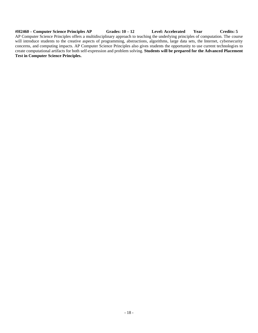**#H2460 – Computer Science Principles AP Grades: 10 – 12 Level: Accelerated Year Credits: 5** AP Computer Science Principles offers a multidisciplinary approach to teaching the underlying principles of computation. The course will introduce students to the creative aspects of programming, abstractions, algorithms, large data sets, the Internet, cybersecurity concerns, and computing impacts. AP Computer Science Principles also gives students the opportunity to use current technologies to create computational artifacts for both self-expression and problem solving. **Students will be prepared for the Advanced Placement Test in Computer Science Principles.**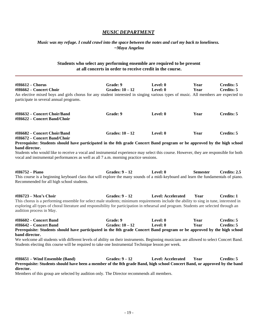# *MUSIC DEPARTMENT*

# *Music was my refuge. I could crawl into the space between the notes and curl my back to loneliness. ~Maya Angelou*

# **Students who select any performing ensemble are required to be present at all concerts in order to receive credit in the course.**

| $\#H6612$ – Chorus<br>#H6662 – Concert Choir<br>An elective mixed boys and girls chorus for any student interested in singing various types of music. All members are expected to                                                                                                                                                      | Grade: 9<br>Grades: $10 - 12$ | Level: 0<br>Level: $0$    | Year<br>Year    | <b>Credits: 5</b><br>Credits: 5        |
|----------------------------------------------------------------------------------------------------------------------------------------------------------------------------------------------------------------------------------------------------------------------------------------------------------------------------------------|-------------------------------|---------------------------|-----------------|----------------------------------------|
| participate in several annual programs.                                                                                                                                                                                                                                                                                                |                               |                           |                 |                                        |
| #H6632 – Concert Choir/Band<br>#H6622 - Concert Band/Choir                                                                                                                                                                                                                                                                             | Grade: 9                      | Level: 0                  | Year            | Credits: 5                             |
| #H6682 - Concert Choir/Band<br>#H6672 - Concert Band/Choir<br>Prerequisite: Students should have participated in the 8th grade Concert Band program or be approved by the high school                                                                                                                                                  | Grades: $10 - 12$             | Level: 0                  | Year            | <b>Credits: 5</b>                      |
| band director.                                                                                                                                                                                                                                                                                                                         |                               |                           |                 |                                        |
| Students who would like to receive a vocal and instrumental experience may select this course. However, they are responsible for both<br>vocal and instrumental performances as well as all 7 a.m. morning practice sessions.                                                                                                          |                               |                           |                 |                                        |
| #H6752 – Piano<br>This course is a beginning keyboard class that will explore the many sounds of a midi-keyboard and learn the fundamentals of piano.<br>Recommended for all high school students.                                                                                                                                     | Grades: $9-12$                | Level: 0                  | <b>Semester</b> | Credits: 2.5                           |
| #H6723 - Men's Choir<br>This chorus is a performing ensemble for select male students; minimum requirements include the ability to sing in tune, interested in<br>exploring all types of choral literature and responsibility for participation in rehearsal and program. Students are selected through an<br>audition process in May. | Grades: $9-12$                | <b>Level: Accelerated</b> | Year            | <b>Credits: 1</b>                      |
| #H6602 - Concert Band<br>#H6642 - Concert Band<br>Prerequisite: Students should have participated in the 8th grade Concert Band program or be approved by the high school                                                                                                                                                              | Grade: 9<br>Grades: $10 - 12$ | Level: 0<br>Level: 0      | Year<br>Year    | <b>Credits: 5</b><br><b>Credits: 5</b> |
| band director.<br>We welcome all students with different levels of ability on their instruments. Beginning musicians are allowed to select Concert Band.<br>Students electing this course will be required to take one Instrumental Technique lesson per week.                                                                         |                               |                           |                 |                                        |
| #H6651 - Wind Ensemble (Band)<br>Prerequisite: Students should have been a member of the 8th grade Band, high school Concert Band, or approved by the band<br>director.<br>Members of this group are selected by audition only. The Director recommends all members.                                                                   | Grades: $9-12$                | <b>Level: Accelerated</b> | Year            | <b>Credits: 5</b>                      |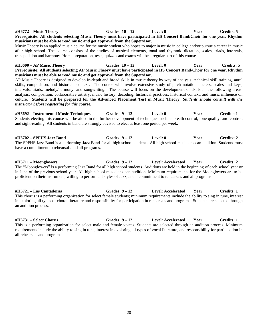# **#H6772 – Music Theory Grades: 10 – 12 Level: 0 Year Credits: 5 Prerequisite: All students selecting Music Theory must have participated in HS Concert Band/Choir for one year. Rhythm musicians must be able to read music and get approval from the Supervisor.** Music Theory is an applied music course for the music student who hopes to major in music in college and/or pursue a career in music after high school. The course consists of the studies of musical elements, tonal and rhythmic dictation, scales, triads, intervals, transposition and harmony. Home preparation, tests, quizzes and exams will be a regular part of this course. **#H6600 – AP Music Theory Grades: 10 – 12 Level: 0 Year Credits: 5 Prerequisite: All students selecting AP Music Theory must have participated in HS Concert Band/Choir for one year. Rhythm musicians must be able to read music and get approval from the Supervisor.** AP Music Theory is designed to develop in-depth and broad skills in music theory by way of analysis, technical skill training, aural skills, composition, and historical context. The course will involve extensive study of pitch notation, meters, scales and keys, intervals, triads, melody/harmony, and songwriting. The course will focus on the development of skills in the following areas: analysis, composition, collaborative artistry, music history, decoding, historical practices, historical context, and music influence on culture. **Students will be prepared for the Advanced Placement Test in Music Theory.** *Students should consult with the instructor before registering for this course.*

**#H6692 – Instrumental Music Techniques Grades: 9 – 12 Level: 0 Year Credits: 1** Students electing this course will be aided in the further development of techniques such as breath control, tone quality, and control, and sight-reading. All students in band are strongly advised to elect at least one period per week.

**#H6702 – SPFHS Jazz Band Grades: 9 – 12 Level: 0 Year Credits: 2** The SPFHS Jazz Band is a performing Jazz Band for all high school students. All high school musicians can audition. Students must have a commitment to rehearsals and all programs.

**#H6711 – Moonglowers Grades: 9 – 12 Level: Accelerated Year Credits: 2** The "Moonglowers" is a performing Jazz Band for all high school students. Auditions are held in the beginning of each school year or in June of the previous school year. All high school musicians can audition. Minimum requirements for the Moonglowers are to be proficient on their instrument, willing to perform all styles of Jazz, and a commitment to rehearsals and all programs.

**#H6721 – Las Cantadoras Grades: 9 – 12 Level: Accelerated Year Credits: 1** This chorus is a performing organization for select female students; minimum requirements include the ability to sing in tune, interest in exploring all types of choral literature and responsibility for participation in rehearsals and programs. Students are selected through an audition process.

**#H6731 – Select Chorus Grades: 9 – 12 Level: Accelerated Year Credits: 1** This is a performing organization for select male and female voices. Students are selected through an audition process. Minimum requirements include the ability to sing in tune, interest in exploring all types of vocal literature, and responsibility for participation in all rehearsals and programs.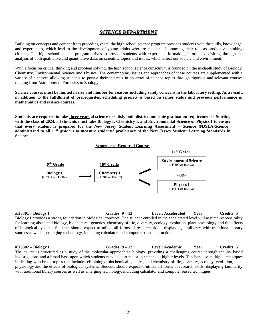# *SCIENCE DEPARTMENT*

Building on concepts and content from preceding years, the high school science program provides students with the skills, knowledge, and experiences, which lead to the development of young adults who are capable of assuming their role as productive thinking citizens. The high school science program strives to provide students with experience in making informed decisions, through the analysis of both qualitative and quantitative data, on scientific topics and issues, which affect our society and environment.

With a focus on critical thinking and problem solving, the high school science curriculum is founded on the in-depth study of Biology, Chemistry, Environmental Science and Physics. The contemporary issues and approaches of these courses are supplemented with a variety of electives allowing students to pursue their interests in an array of science topics through rigorous and relevant courses ranging from Astronomy to Forensics to Zoology.

**Science courses must be limited in size and number for reasons including safety concerns in the laboratory setting. As a result, in addition to the fulfillment of prerequisites, scheduling priority is based on senior status and previous performance in mathematics and science courses.**

**Students are required to take three years of science to satisfy both district and state graduation requirements. Starting with the class of 2024, all students must take Biology I, Chemistry I, and Environmental Science or Physics I to ensure**  that every student is prepared for the New Jersey Student Learning Assessment – Science (NJSLA-Science), **administered to all 11th graders to measure students' proficiency of the New Jersey Student Learning Standards in Science.** 



**#H3301 – Biology I Grades: 9 – 12 Level: Accelerated Year Credits: 5** Biology I provides a strong foundation in biological concepts. The student enrolled in the accelerated level will assume responsibility for learning about cell biology, biochemical genetics, chemistry of life, diversity, ecology, evolution, plant physiology and the effects of biological systems. Students should expect to utilize all forms of research skills, displaying familiarity with traditional library sources as well as emerging technology, including calculator and computer based instruction.

**#H3302 – Biology I Grades: 9 – 12 Level: Academic Year Credits: 5** The course is structured as a study of the molecular approach to biology, providing a challenging course through inquiry based investigations and a broad base upon which students may elect to major in science at higher levels. Teachers use multiple techniques in dealing with broad topics that include cell biology, biochemical genetics, and chemistry of life, diversity, ecology, evolution, plant physiology and the effects of biological systems. Students should expect to utilize all forms of research skills, displaying familiarity with traditional library sources as well as emerging technology, including calculator and computer based techniques.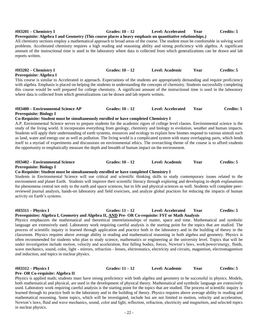#### **#H3201 – Chemistry I Grades: 10 – 12 Level: Accelerated Year Credits: 5 Prerequisite: Algebra I and Geometry (This course places a heavy emphasis on quantitative relationships.)**

All chemistry sections employ a mathematical approach to broad areas of the course. The student must be comfortable in solving word problems. Accelerated chemistry requires a high reading and reasoning ability and strong proficiency with algebra. A significant amount of the instructional time is used in the laboratory where data is collected from which generalizations can be drawn and lab reports written.

#### **#H3202 – Chemistry I Grades: 10 – 12 Level: Academic Year Credits: 5 Prerequisite: Algebra I**

This course is similar to Accelerated in approach. Expectations of the students are appropriately demanding and require proficiency with algebra. Emphasis is placed on helping the students in understanding the concepts of chemistry. Students successfully completing this course would be well prepared for college chemistry. A significant amount of the instructional time is used in the laboratory where data is collected from which generalizations can be drawn and lab reports written.

#### **#H3400 – Environmental Science AP Grades: 10 – 12 Level: Accelerated Year Credits: 5 Prerequisite: Biology I**

#### **Co-Requisite: Student must be simultaneously enrolled or have completed Chemistry I**

A.P. Environmental Science serves to prepare students for the academic rigors of college level classes. Environmental science is the study of the living world. It incorporates everything from geology, chemistry and biology to evolution, weather and human impacts. Students will apply their understanding of earth systems, resources and ecology to explain how biomes respond to various stimuli such as land, water and energy use as well as pollution. The living world is a complicated system with many overlapping parts, which lends itself to a myriad of experiments and discussions on environmental ethics. The overarching theme of the course is to afford students the opportunity to emphatically measure the depth and breadth of human impact on the environment.

#### **#H3402 – Environmental Science Grades: 10 – 12 Level: Academic Year Credits: 5**

#### **Prerequisite: Biology I**

#### **Co-Requisite: Student must be simultaneously enrolled or have completed Chemistry I**

Students in Environmental Science will use critical and scientific thinking skills to study contemporary issues related to the environment and planet Earth. Students will improve their scientific literacy through exploring and developing in-depth explanations for phenomena central not only to the earth and space sciences, but to life and physical sciences as well. Students will complete peerreviewed journal analysis, hands-on laboratory and field exercises, and analyze global practices for reducing the impacts of human activity on Earth's systems.

#### **#H3311 – Physics I Grades: 11 – 12 Level: Accelerated Year Credits: 5 Prerequisites: Algebra I, Geometry and Algebra II, AND Pre- OR Co-requisite: FST or Math Analysis**

Physics emphasizes the mathematical and theoretical interrelationships of matter, space and time. Mathematical and symbolic language are extensively used. Laboratory work requiring careful analysis is the starting point for the topics that are studied. The process of scientific inquiry is learned through application and practice both in the laboratory and in the building of theory in the classroom. Physics requires above average ability in reading and mathematical reasoning in both algebra and geometry. Physics is often recommended for students who plan to study science, mathematics or engineering at the university level. Topics that will be under investigation include motion, velocity and acceleration, free falling bodies, forces, Newton's laws, work/power/energy, fluids, wave mechanics, sound, color, light - mirrors, refraction - lenses, electrostatics, electricity and circuits, magnetism, electromagnetism and induction, and topics in nuclear physics.

#### **#H3312 – Physics I Grades: 11 – 12 Level: Academic Year Credits: 5**

#### **Pre- OR Co-requisite: Algebra II**

Physics is applied math; students must have strong proficiency with both algebra and geometry to be successful in physics. Models, both mathematical and physical, are used in the development of physical theory. Mathematical and symbolic language are extensively used. Laboratory work requiring careful analysis is the starting point for the topics that are studied. The process of scientific inquiry is learned through its practice both in the laboratory and in the building of theory. Physics requires above average ability in reading and mathematical reasoning. Some topics, which will be investigated, include but are not limited to motion, velocity and acceleration, Newton's laws, fluid and wave mechanics, sound, color and light, reflection, refraction, electricity and magnetism, and selected topics in nuclear physics.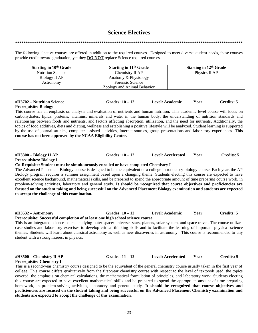# **Science Electives**

#### **\*\*\*\*\*\*\*\*\*\*\*\*\*\*\*\*\*\*\*\*\*\*\*\*\*\*\*\*\*\*\*\*\*\*\*\*\*\*\*\*\*\*\*\*\*\*\*\*\*\*\*\*\*\*\*\*\*\*\*\*\*\*\*\*\*\*\*\*\*\*\*\*\*\*\*\*\*\*\*\*\*\*\*\*\*\*\*\*\*\*\*\*\*\*\*\*\*\*\*\*\*\*\*\*\*\*\*\***

The following elective courses are offered in addition to the required courses. Designed to meet diverse student needs, these courses provide credit toward graduation, yet they **DO NOT** replace Science required courses.

| Starting in 10 <sup>th</sup> Grade | Starting in 11 <sup>th</sup> Grade | Starting in $12th$ Grade |
|------------------------------------|------------------------------------|--------------------------|
| <b>Nutrition Science</b>           | Chemistry II AP                    | Physics II AP            |
| Biology II AP                      | Anatomy & Physiology               |                          |
| Astronomy                          | Forensic Science                   |                          |
|                                    | Zoology and Animal Behavior        |                          |

| #H3702 – Nutrition Science | Grades: $10-12$ | <b>Level: Academic</b> | Vear | Credits: 5 |
|----------------------------|-----------------|------------------------|------|------------|
|                            |                 |                        |      |            |

#### **Prerequisite: Biology**

This course has an emphasis on analysis and evaluation of nutrients and human nutrition. This academic level course will focus on carbohydrates, lipids, proteins, vitamins, minerals and water in the human body, the understanding of nutrition standards and relationship between foods and nutrients, and factors affecting absorption, utilization, and the need for nutrients. Additionally, the topics of food additives, diets and dieting, wellness and establishing a positive lifestyle will be analyzed. Student learning is supported by the use of journal articles, computer assisted activities, Internet sources, group presentations and laboratory experiences. **This course has not been approved by the NCAA Eligibility Center.**

### **#H3300 – Biology II AP Grades: 10 – 12 Level: Accelerated Year Credits: 5**

**Prerequisites: Biology I**

#### **Co-Requisite: Student must be simultaneously enrolled or have completed Chemistry I**

The Advanced Placement Biology course is designed to be the equivalent of a college introductory biology course. Each year, the AP Biology program requires a summer assignment based upon a changing theme. Students electing this course are expected to have excellent science background, mathematical skills, and be prepared to spend the appropriate amount of time preparing course work, in problem-solving activities, laboratory and general study. **It should be recognized that course objectives and proficiencies are focused on the student taking and being successful on the Advanced Placement Biology examination and students are expected to accept the challenge of this examination.** 

#### **#H3532 – Astronomy Grades: 10 – 12 Level: Academic Year Credits: 5 Prerequisite: Successful completion of at least one high school science course.**

This is an integrated science course studying outer space: universe, stars, planets, solar system, and space travel. The course utilizes case studies and laboratory exercises to develop critical thinking skills and to facilitate the learning of important physical science themes. Students will learn about classical astronomy as well as new discoveries in astronomy. This course is recommended to any student with a strong interest in physics.

**#H3500 – Chemistry II AP Grades: 11 – 12 Level: Accelerated Year Credits: 5**

**Prerequisite: Chemistry I**  This is a second-year chemistry course designed to be the equivalent of the general chemistry course usually taken in the first year of college. This course differs qualitatively from the first-year chemistry course with respect to the level of textbook used, the topics covered, the emphasis on chemical calculations, the mathematical formulation of principles, and laboratory work. Students electing this course are expected to have excellent mathematical skills and be prepared to spend the appropriate amount of time preparing homework, in problem-solving activities, laboratory and general study. **It should be recognized that course objectives and proficiencies are focused on the student taking and being successful on the Advanced Placement Chemistry examination and students are expected to accept the challenge of this examination.**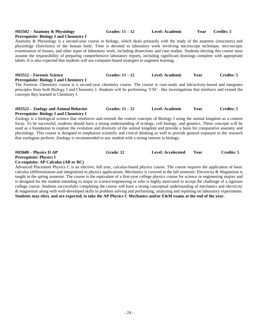# **Prerequisite: Biology I and Chemistry I**

**#H3502 – Anatomy & Physiology Grades: 11 – 12 Level: Academic Year Credits: 5**

Anatomy & Physiology is a second-year course in biology, which deals primarily with the study of the anatomy (structures) and physiology (functions) of the human body. Time is devoted to laboratory work involving microscope technique, microscopic examination of tissues, and other types of laboratory work, including dissections and case studies. Students electing this course must assume the responsibility of preparing comprehensive laboratory reports, including significant drawings complete with appropriate labels. It is also expected that students will use computer-based strategies to augment learning.

#### **#H3512 – Forensic Science Grades: 11 – 12 Level: Academic Year Credits: 5 Prerequisite: Biology I and Chemistry I**

The Forensic Chemistry course is a second-year chemistry course. The course is case-study and lab/activity-based and integrates principles from both Biology I and Chemistry I. Students will be performing 'CSI'– like investigations that reinforce and extend the concepts they learned in Chemistry I.

#### **#H3522 – Zoology and Animal Behavior Grades: 11 – 12 Level: Academic Year Credits: 5 Prerequisite: Biology I and Chemistry I**

Zoology is a biological science that reinforces and extends the central concepts of Biology I using the animal kingdom as a content focus. To be successful, students should have a strong understanding of ecology, cell biology, and genetics. These concepts will be used as a foundation to explore the evolution and diversity of the animal kingdom and provide a basis for comparative anatomy and physiology. This course is designed to emphasize scientific and critical thinking as well to provide general exposure to the research that zoologists perform. Zoology is recommended to any student with a strong interest in biology.

#### **#H3600 – Physics II AP Grade: 12 Level: Accelerated Year Credits: 5 Prerequisite: Physics I Co-requisite: AP Calculus (AB or BC)**

Advanced Placement Physics C is an elective, full year, calculus-based physics course. The course requires the application of basic calculus (differentiation and integration) to physics applications. Mechanics is covered in the fall semester; Electricity & Magnetism is taught in the spring semester. The course is the equivalent of a first-year college physics course for science or engineering majors and is designed for the student intending to major in science/engineering or who is highly motivated to accept the challenge of a rigorous college course. Students successfully completing the course will have a strong conceptual understanding of mechanics and electricity & magnetism along with well-developed skills in problem solving and performing, analyzing and reporting on laboratory experiments. **Students may elect, and are expected, to take the AP Physics C Mechanics and/or E&M exams at the end of the year.**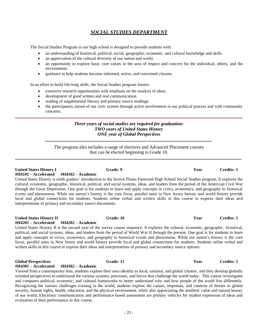# *SOCIAL STUDIES DEPARTMENT*

The Social Studies Program in our high school is designed to provide students with:

- an understanding of historical, political, social, geographic, economic, and cultural knowledge and skills.
- an appreciation of the cultural diversity of our nation and world.
- an opportunity to explore basic core values in the area of respect and concern for the individual, others, and the environment.
- guidance to help students become informed, active, and concerned citizens.

In an effort to build life-long skills, the Social Studies program fosters:

- extensive research opportunities with emphasis on the analysis of ideas.
- development of good written and oral communication.
- reading of supplemental literary and primary source readings.
- the participatory nature of our civic system through active involvement in our political process and with community concerns.

### *Three years of social studies are required for graduation: TWO years of United States History ONE year of Global Perspectives*

The program also includes a range of electives and Advanced Placement courses that can be elected beginning in Grade 10.

**United States History I Grade: 9 Year Credits: 5 #H4101 – Accelerated #H4102 – Academic** United States History is ninth graders' introduction to the Scotch Plains-Fanwood High School Social Studies program. It explores the cultural, economic, geographic, historical, political, and social systems, ideas, and leaders from the period of the American Civil War through the Great Depression. One goal is for students to learn and apply concepts in civics, economics, and geography to historical events and phenomena. While our nation's history is the core focus, parallel units in New Jersey history and world history provide local and global connections for students. Students refine verbal and written skills in this course to express their ideas and interpretations of primary and secondary source documents.

#### **United States History II Grade: 10 Year Credits: 5**

#### **#H4201 – Accelerated #H4202 – Academic**

United States History II is the second year of the survey course sequence. It explores the cultural, economic, geographic, historical, political, and social systems, ideas, and leaders from the period of World War II through the present. One goal is for students to learn and apply concepts in civics, economics, and geography to historical events and phenomena. While our nation's history is the core focus, parallel units in New Jersey and world history provide local and global connections for students. Students refine verbal and written skills in this course to express their ideas and interpretations of primary and secondary source options.

#### **Global Perspectives Grade: 11 Year Credits: 5**

#### **#H4301 – Accelerated #H4302 – Academic**

Viewed from a contemporary lens, students explore their own identity as local, national, and global citizens, and they develop globally oriented perspectives to understand the various systems, processes, and forces that challenge the world today. This course investigates and compares political, economic, and cultural frameworks to better understand why and how people of the world live differently. Recognizing the various challenges existing in the world, students explore the causes, responses, and contexts of threats to global security, human rights, health, education, and the physical environment, while also appreciating the aesthetic value and natural beauty of our world. Electronic communication and performance-based assessment are primary vehicles for student expression of ideas and evaluation of their performance in this course.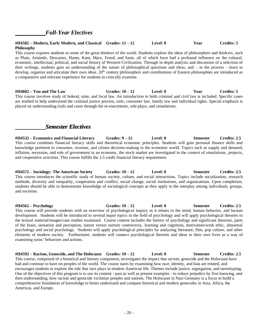# *Full-Year Electives*

#### **#H4582 – Modern, Early Modern, and Classical Grades: 11 – 12 Level: 0 Year Credits: 5 Philosophy**

This course exposes students to some of the great thinkers of the world. Students explore the ideas of philosophers and thinkers, such as Plato, Aristotle, Descartes, Hume, Kant, Marx, Freud, and Sarte, all of which have had a profound influence on the cultural, economic, intellectual, political, and social history of Western Civilization. Through in-depth analysis and discussion of a selection of their writings, students gain an understanding of the nature of philosophical questions and ideas, and – in the process – learn to develop, organize and articulate their own ideas. 20<sup>th</sup> century philosophers and contributions of Eastern philosophies are introduced as a comparative and relevant experience for students to critically examine.

**#H4602 – You and The Law Grades: 10 – 12 Level: 0 Year Credits: 5** This course involves study of federal, state, and local law. An introduction to both criminal and civil law is included. Specific cases are studied to help understand the criminal justice process, torts, consumer law, family law and individual rights. Special emphasis is placed on understanding trials and cases through the re-enactments, role-plays, and simulations.

# *Semester Electives*

**#H4532 – Economics and Financial Literacy Grades: 9 – 12 Level: 0 Semester Credits: 2.5** This course combines financial literacy skills and theoretical economic principles. Students will gain personal finance skills and knowledge pertinent to consumer, investor, and citizen decision-making in the economic world. Topics such as supply and demand, inflation, recession, and role of government in an economy, the stock market are investigated in the context of simulations, projects, and cooperative activities. This course fulfills the 2.5 credit financial literacy requirement.

**#H4572 – Sociology: The American Society Grades: 10 – 12 Level: 0 Semester Credits: 2.5** This course introduces the scientific study of human society, culture, and social interactions. Topics include socialization, research methods, diversity and inequality, cooperation and conflict, social change, social institutions, and organizations. Upon completion, students should be able to demonstrate knowledge of sociological concepts as they apply to the interplay among individuals, groups, and societies.

**#H4562 – Psychology Grades: 10 – 12 Level: 0 Semester Credits: 2.5** This course will provide students with an overview of psychological inquiry as it relates to the mind, human behavior, and human development. Students will be introduced to several major topics in the field of psychology and will apply psychological theories to the textual material/images/case studies examined. Course content includes the history of psychology and significant theorists, parts of the brain, sensation and perception, nature versus nurture controversy, learning and cognition, motivation/work ethic, abnormal psychology and social psychology. Students will apply psychological principles by analyzing literature, film, pop culture, and other elements of modern society. Furthermore, students will connect psychological theories and ideas to their own lives as a way of examining teens' behaviors and actions.

**#H4592 – Racism, Genocide, and The Holocaust Grades: 10 – 12 Level: 0 Semester Credits: 2.5** This course, comprised of a historical and literary component, investigates the impact that racism, genocide and the Holocaust have had and continue to have on peoples of the world. The course starts by examining how race, identity, and bias are related, and encourages students to explore the role that race plays in modern American life. Themes include justice, segregation, and stereotyping. One of the objectives of this program is to use its content - past as well as present examples - to reduce prejudice by first knowing, and then understanding, how racism and genocide victimize peoples and nations. The Holocaust in Nazi Germany is a focus to build a comprehensive foundation of knowledge to better understand and compare historical and modern genocides in Asia, Africa, the Americas, and Europe.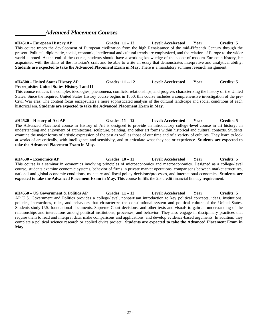# *Advanced Placement Courses*

**#H4510 – European History AP Grades: 11 – 12 Level: Accelerated Year Credits: 5** This course traces the development of European civilization from the high Renaissance of the mid-Fifteenth Century through the present. Political, diplomatic, social, economic, intellectual and cultural trends are emphasized, and the relation of Europe to the wider world is noted. At the end of the course, students should have a working knowledge of the scope of modern European history, be acquainted with the skills of the historian's craft and be able to write an essay that demonstrates interpretive and analytical ability. **Students are expected to take the Advanced Placement Exam in May**. There is a mandatory summer research assignment.

### **#H4500 – United States History AP Grades: 11 -- 12 Level: Accelerated Year Credits: 5 Prerequisite: United States History I and II**

This course retraces the complex ideologies, phenomena, conflicts, relationships, and progress characterizing the history of the United States. Since the required United States History course begins in 1850, this course includes a comprehensive investigation of the pre-Civil War eras. The content focus encapsulates a more sophisticated analysis of the cultural landscape and social conditions of each historical era. **Students are expected to take the Advanced Placement Exam in May.**

**#H4520 – History of Art AP Grades: 11 – 12 Level: Accelerated Year Credits: 5** The Advanced Placement course in History of Art is designed to provide an introductory college-level course in art history: an understanding and enjoyment of architecture, sculpture, painting, and other art forms within historical and cultural contexts. Students examine the major forms of artistic expression of the past as well as those of our time and of a variety of cultures. They learn to look at works of art critically, with intelligence and sensitivity, and to articulate what they see or experience. **Students are expected to take the Advanced Placement Exam in May.**

**#H4530 – Economics AP Grades: 10 – 12 Level: Accelerated Year Credits: 5** This course is a seminar in economics involving principles of microeconomics and macroeconomics. Designed as a college-level course, students examine economic systems, behavior of firms in private market operations, comparisons between market structures, national and global economic conditions, monetary and fiscal policy decisions/processes, and international economics. **Students are expected to take the Advanced Placement Exam in May.** This course fulfills the 2.5 credit financial literacy requirement.

**#H4550 – US Government & Politics AP Grades: 11 – 12 Level: Accelerated Year Credits: 5** AP U.S. Government and Politics provides a college-level, nonpartisan introduction to key political concepts, ideas, institutions, policies, interactions, roles, and behaviors that characterize the constitutional system and political culture of the United States. Students study U.S. foundational documents, Supreme Court decisions, and other texts and visuals to gain an understanding of the relationships and interactions among political institutions, processes, and behavior. They also engage in disciplinary practices that require them to read and interpret data, make comparisons and applications, and develop evidence-based arguments. In addition, they complete a political science research or applied civics project. **Students are expected to take the Advanced Placement Exam in May**.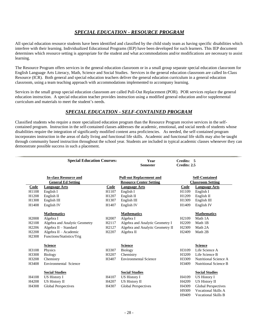# *SPECIAL EDUCATION - RESOURCE PROGRAM*

All special education resource students have been identified and classified by the child study team as having specific disabilities which interfere with their learning. Individualized Educational Programs (IEP) have been developed for such learners. This IEP document determines which resource setting is appropriate for the student and what accommodations and/or modifications are necessary to assist learning.

The Resource Program offers services in the general education classroom or in a small group separate special education classroom for English Language Arts Literacy, Math, Science and Social Studies. Services in the general education classroom are called In-Class Resource (ICR). Both general and special education teachers deliver the general education curriculum in a general education classroom, using a team teaching approach with accommodations implemented to accompany learning.

Services in the small group special education classroom are called Pull-Out Replacement (POR). POR services replace the general education instruction. A special education teacher provides instruction using a modified general education and/or supplemental curriculum and materials to meet the student's needs.

# *SPECIAL EDUCATION - SELF-CONTAINED PROGRAM*

Classified students who require a more specialized education program than the Resource Program receive services in the selfcontained program. Instruction in the self-contained classes addresses the academic, emotional, and social needs of students whose disabilities require the integration of significantly modified content area proficiencies. As needed, the self-contained program incorporates instruction in the areas of daily living and functional life skills. Academic and functional life skills may also be taught through community based instruction throughout the school year. Students are included in typical academic classes whenever they can demonstrate possible success in such a placement.

|                   | <b>Special Education Courses:</b> |                   | Year<br><b>Semester</b>          | Credits: 5<br>Credits: 2.5 |                              |
|-------------------|-----------------------------------|-------------------|----------------------------------|----------------------------|------------------------------|
|                   | <b>In-class Resource and</b>      |                   | <b>Pull-out Replacement and</b>  |                            | <b>Self-Contained</b>        |
|                   | <b>General Ed Setting</b>         |                   | <b>Resource Center Setting</b>   |                            | <b>Classroom Setting</b>     |
| <b>Code</b>       | <b>Language Arts</b>              | Code              | <b>Language Arts</b>             | Code<br>H1109              | Language Arts                |
| H1108<br>H1208    | English I<br>English II           | H1107<br>H1207    | English I<br>English II          | H1209                      | English I<br>English II      |
| H1308             | English III                       | H1307             | English III                      | H1309                      | English III                  |
| H1408             | English IV                        | H1407             | English IV                       | H1409                      | English IV                   |
|                   | <b>Mathematics</b>                |                   | <b>Mathematics</b>               |                            | <b>Mathematics</b>           |
| H <sub>2008</sub> | Algebra I                         | H <sub>2007</sub> | Algebra I                        | H <sub>2109</sub>          | Math 1A                      |
| H <sub>2108</sub> | Algebra and Analytic Geometry     | H2117             | Algebra and Analytic Geometry I  | H <sub>2209</sub>          | Math 1B                      |
| H <sub>2206</sub> | Algebra II - Standard             | H <sub>2127</sub> | Algebra and Analytic Geometry II | H <sub>2309</sub>          | Math 2A                      |
| H <sub>2208</sub> | Algebra II - Academic             | H <sub>2207</sub> | Algebra II                       | H <sub>2409</sub>          | Math 2B                      |
| H <sub>2308</sub> | Functions/Statistics/Trig         |                   |                                  |                            |                              |
|                   | <b>Science</b>                    |                   | <b>Science</b>                   |                            | <b>Science</b>               |
| H3108             | Physics                           | H3307             | <b>Biology</b>                   | H3109                      | Life Science A               |
| H3308             | <b>Biology</b>                    | H3207             | Chemistry                        | H3209                      | Life Science B               |
| H3208             | Chemistry                         | H3407             | <b>Environmental Science</b>     | H3309                      | Nutritional Science A        |
| H3408             | Environmental Science             |                   |                                  | H3409                      | <b>Nutritional Science B</b> |
|                   | <b>Social Studies</b>             |                   | <b>Social Studies</b>            |                            | <b>Social Studies</b>        |
| H4108             | <b>US History I</b>               | H4107             | US History I                     | H4109                      | <b>US History I</b>          |
| H4208             | US History II                     | H4207             | US History II                    | H4209                      | US History II                |
| H4308             | <b>Global Perspectives</b>        | H4307             | <b>Global Perspectives</b>       | H4309                      | <b>Global Perspectives</b>   |
|                   |                                   |                   |                                  | H9309                      | <b>Vocational Skills A</b>   |
|                   |                                   |                   |                                  | H9409                      | Vocational Skills R          |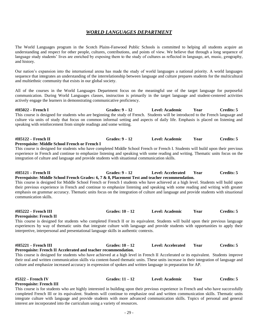# *WORLD LANGUAGES DEPARTMENT*

The World Languages program in the Scotch Plains-Fanwood Public Schools is committed to helping all students acquire an understanding and respect for other people, cultures, contributions, and points of view. We believe that through a long sequence of language study students' lives are enriched by exposing them to the study of cultures as reflected in language, art, music, geography, and history.

Our nation's expansion into the international arena has made the study of world languages a national priority. A world languages sequence that integrates an understanding of the interrelationship between language and culture prepares students for the multicultural and multiethnic community that exists in our global society.

All of the courses in the World Languages Department focus on the meaningful use of the target language for purposeful communication. During World Languages classes, instruction is primarily in the target language and student-centered activities actively engage the learners in demonstrating communicative proficiency.

**#H5022 – French I Grades: 9 – 12 Level: Academic Year Credits: 5** This course is designed for students who are beginning the study of French. Students will be introduced to the French language and culture via units of study that focus on common informal setting and aspects of daily life. Emphasis is placed on listening and speaking with reinforcement from simple readings and some writing.

#### **#H5122 – French II Grades: 9 – 12 Level: Academic Year Credits: 5 Prerequisite: Middle School French or French I**

This course is designed for students who have completed Middle School French or French I. Students will build upon their previous experience in French and continue to emphasize listening and speaking with some reading and writing. Thematic units focus on the integration of culture and language and provide students with situational communication skills.

#### **#H5121 – French II Grades: 9 – 12 Level: Accelerated Year Credits: 5 Prerequisite: Middle School French Grades: 6, 7 & 8, Placement Test and teacher recommendation.**

This course is designed for Middle School French or French I students who have achieved at a high level. Students will build upon their previous experience in French and continue to emphasize listening and speaking with some reading and writing with greater emphasis on grammar accuracy. Thematic units focus on the integration of culture and language and provide students with situational communication skills.

**#H5222 – French III Grades: 10 – 12 Level: Academic Year Credits: 5**

**Prerequisite: French II**

This course is designed for students who completed French II or its equivalent. Students will build upon their previous language experiences by way of thematic units that integrate culture with language and provide students with opportunities to apply their interpretive, interpersonal and presentational language skills in authentic contexts.

#### **#H5221 – French III Grades: 10 – 12 Level: Accelerated Year Credits: 5 Prerequisite: French II Accelerated and teacher recommendation.**

This course is designed for students who have achieved at a high level in French II Accelerated or its equivalent. Students improve their oral and written communication skills via content-based thematic units. These units increase in their integration of language and culture and emphasize increased accuracy in expression of spoken and written language in preparation for AP.

#### **#5322 – French IV Grades: 11 – 12 Level: Academic Year Credits: 5 Prerequisite: French III**

This course is for students who are highly interested in building upon their previous experience in French and who have successfully completed French III or its equivalent. Students will continue to emphasize oral and written communication skills. Thematic units integrate culture with language and provide students with more advanced communication skills. Topics of personal and general interest are incorporated into the curriculum using a variety of resources.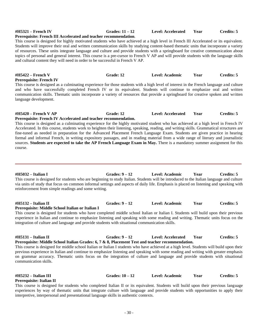- 30 -

**Prerequisite: Middle School Italian Grades: 6, 7 & 8, Placement Test and teacher recommendation.**

# **Prerequisite: Italian II**

communication skills.

**#H5132 – Italian II Grades: 9 – 12 Level: Academic Year Credits: 5 Prerequisite: Middle School Italian or Italian I** This course is designed for students who have completed middle school Italian or Italian I. Students will build upon their previous experience in Italian and continue to emphasize listening and speaking with some reading and writing. Thematic units focus on the integration of culture and language and provide students with situational communication skills.

**#H5131 – Italian II Grades: 9 – 12 Level: Accelerated Year Credits: 5**

This course is designed for middle school Italian or Italian I students who have achieved at a high level. Students will build upon their previous experience in Italian and continue to emphasize listening and speaking with some reading and writing with greater emphasis on grammar accuracy. Thematic units focus on the integration of culture and language and provide students with situational

**#H5032 – Italian I Grades: 9 – 12 Level: Academic Year Credits: 5** This course is designed for students who are beginning to study Italian. Students will be introduced to the Italian language and culture via units of study that focus on common informal settings and aspects of daily life. Emphasis is placed on listening and speaking with reinforcement from simple readings and some writing.

# **Prerequisite: French IV**

course.

This course is designed as a culminating experience for those students with a high level of interest in the French language and culture and who have successfully completed French IV or its equivalent. Students will continue to emphasize oral and written communication skills. Thematic units incorporate a variety of resources that provide a springboard for creative spoken and written language development.

**#H5420 – French V AP Grade: 12 Level: Accelerated Year Credits: 5**

This course is designed as a culminating experience for the highly motivated student who has achieved at a high level in French IV Accelerated. In this course, students work to heighten their listening, speaking, reading, and writing skills. Grammatical structures are fine-tuned as needed in preparation for the Advanced Placement French Language Exam. Students are given practice in hearing formal and informal French, in writing expository passages, and in reading material from a wide range of literary and journalistic sources. **Students are expected to take the AP French Language Exam in May.** There is a mandatory summer assignment for this

**#H5422 – French V Grade: 12 Level: Academic Year Credits: 5**

# **Prerequisite: French III Accelerated and teacher recommendation**.

**Prerequisite: French IV Accelerated and teacher recommendation.**

This course is designed for highly motivated students who have achieved at a high level in French III Accelerated or its equivalent. Students will improve their oral and written communication skills by studying content-based thematic units that incorporate a variety of resources. These units integrate language and culture and provide students with a springboard for creative communication about topics of personal and general interest. This course is a pre-cursor to French V AP and will provide students with the language skills and cultural content they will need in order to be successful in French V AP.

### **#H5321 – French IV Grades: 11 – 12 Level: Accelerated Year Credits: 5**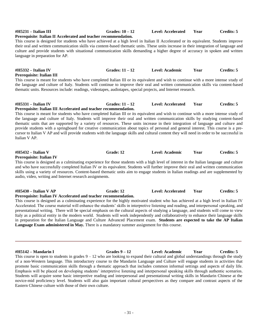# **Prerequisite: Italian III** This course is meant for students who have completed Italian III or its equivalent and wish to continue with a more intense study of the language and culture of Italy. Students will continue to improve their oral and written communication skills via content-based thematic units. Resources include: readings, videotapes, audiotapes, special projects, and Internet research. **#H5331 – Italian IV Grades: 11 – 12 Level: Accelerated Year Credits: 5 Prerequisite: Italian III Accelerated and teacher recommendation.** This course is meant for students who have completed Italian III or its equivalent and wish to continue with a more intense study of the language and culture of Italy. Students will improve their oral and written communication skills by studying content-based thematic units that are supported by a variety of resources. These units increase in their integration of language and culture and provide students with a springboard for creative communication about topics of personal and general interest. This course is a precursor to Italian V AP and will provide students with the language skills and cultural content they will need in order to be successful in Italian V AP.

#### **#H5432 – Italian V Grade: 12 Level: Academic Year Credits: 5 Prerequisite: Italian IV**

This course is designed as a culminating experience for those students with a high level of interest in the Italian language and culture and who have successfully completed Italian IV or its equivalent. Students will further improve their oral and written communication skills using a variety of resources. Content-based thematic units aim to engage students in Italian readings and are supplemented by audio, video, writing and Internet research assignments.

| #H5430 – Italian V AP                                            | Grade: 12 | Level: Accelerated | Year | Credits: 5 |
|------------------------------------------------------------------|-----------|--------------------|------|------------|
| Prerequisite: Italian IV Accelerated and teacher recommendation. |           |                    |      |            |

This course is designed as a culminating experience for the highly motivated student who has achieved at a high level in Italian IV Accelerated. The course material will enhance the students' skills in interpretive listening and reading, and interpersonal speaking, and presentational writing. There will be special emphasis on the cultural aspects of studying a language, and students will come to view Italy as a political entity in the modern world. Students will work independently and collaboratively to enhance their language skills in preparation for the Italian Language and Culture Advanced Placement exam. **Students are expected to take the AP Italian Language Exam administered in May.** There is a mandatory summer assignment for this course.

#### **#H5142 – Mandarin I Grades 9 – 12 Level: Academic Year Credits: 5**

This course is open to students in grades  $9 - 12$  who are looking to expand their cultural and global understandings through the study of a non-Western language. This introductory course to the Mandarin Language and Culture will engage students in activities that promote basic communication skills through a thematic approach that includes common informal settings and aspects of daily life. Emphasis will be placed on developing students' interpretive listening and interpersonal speaking skills through authentic scenarios. Students will acquire some basic interpretive reading and interpersonal and presentational writing skills in Mandarin Chinese at the novice-mid proficiency level. Students will also gain important cultural perspectives as they compare and contrast aspects of the Eastern Chinese culture with those of their own culture.

## **#H5231 – Italian III Grades: 10 – 12 Level: Accelerated Year Credits: 5**

**Prerequisite**: **Italian II Accelerated and teacher recommendation.**

This course is designed for students who have achieved at a high level in Italian II Accelerated or its equivalent. Students improve their oral and written communication skills via content-based thematic units. These units increase in their integration of language and culture and provide students with situational communication skills demanding a higher degree of accuracy in spoken and written language in preparation for AP.

**#H5332 – Italian IV Grades: 11 – 12 Level: Academic Year Credits: 5**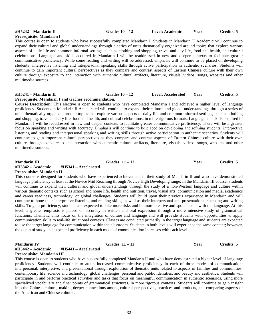**Course Description:** This elective is open to students who have completed Mandarin I and achieved a higher level of language proficiency. Students in Mandarin II Accelerated will continue to expand their cultural and global understandings through a series of units thematically organized around topics that explore various aspects of daily life and common informal settings, such as clothing and shopping, travel and city life, food and health, and cultural celebrations, in more rigorous formats. Language and skills acquired in Mandarin I will be readdressed in new and deeper contexts to facilitate greater communicative proficiency. There will be a greater focus on speaking and writing with accuracy. Emphasis will continue to be placed on developing and refining students' interpretive listening and reading and interpersonal speaking and writing skills through active participation in authentic scenarios. Students will continue to gain important cultural perspectives as they compare and contrast aspects of Eastern Chinese culture with their own culture through exposure to and interaction with authentic cultural artifacts, literature, visuals, videos, songs, websites and other multimedia sources.

**Prerequisite: Mandarin I**

**Prerequisite: Mandarin II** This course is designed for students who have experienced achievement in their study of Mandarin II and who have demonstrated language proficiency at least at the Novice Mid Reaching through Novice High Developing range. In the Mandarin III course, students will continue to expand their cultural and global understandings through the study of a non-Western language and culture within various thematic contexts such as school and home life, health and nutrition, travel, visual arts, communication and media, academics and career readiness, technology, or global challenges. Students will build upon their previous experience in Mandarin and will continue to hone their interpretive listening and reading skills, as well as their interpersonal and presentational speaking and writing skills. To gain proficiency, students are expected to take more risks and be more creative and spontaneous with the language. At this level, a greater emphasis is placed on accuracy in written and oral expression through a more intensive study of grammatical functions. Thematic units focus on the integration of culture and language and will provide students with opportunities to apply communication skills to real-life situational contexts. Classes are conducted primarily in the target language and students are expected to use the target language for communication within the classroom. Students in both levels will experience the same content; however, the depth of study and expected proficiency in each mode of communication increases with each level.

## **#H5442 – Academic #H5441 – Accelerated Prerequisite: Mandarin III**

This course is open to students who have successfully completed Mandarin II and who have demonstrated a higher level of language proficiency. Students will continue to attain increased communicative proficiency in each of three modes of communication: interpersonal, interpretive, and presentational through exploration of thematic units related to aspects of families and communities, contemporary life, science and technology, global challenges, personal and public identities, and beauty and aesthetics. Students will participate in and perform practical activities and tasks that focus on meaningful communication in authentic scenarios, using more specialized vocabulary and finer points of grammatical structures, in more rigorous contexts. Students will continue to gain insight into the Chinese culture, making deeper connections among cultural perspectives, practices and products, and comparing aspects of the American and Chinese cultures.

#### **#H5242 – Mandarin II Grades 10 – 12 Level: Academic Year Credits: 5**

This course is open to students who have successfully completed Mandarin I. Students in Mandarin II Academic will continue to expand their cultural and global understandings through a series of units thematically organized around topics that explore various aspects of daily life and common informal settings, such as clothing and shopping, travel and city life, food and health, and cultural celebrations. Language and skills acquired in Mandarin I will be readdressed in new and deeper contexts to facilitate greater

communicative proficiency. While some reading and writing will be addressed, emphasis will continue to be placed on developing students' interpretive listening and interpersonal speaking skills through active participation in authentic scenarios. Students will continue to gain important cultural perspectives as they compare and contrast aspects of Eastern Chinese culture with their own culture through exposure to and interaction with authentic cultural artifacts, literature, visuals, videos, songs, websites and other multimedia sources.

#### **#H5241 – Mandarin II Grades 10 – 12 Level: Accelerated Year Credits: 5 Prerequisite**: **Mandarin I and teacher recommendation.**

**Mandarin III Grades: 11 – 12 Year Credits: 5 #H5342 – Academic #H5341 – Accelerated**

**Mandarin IV Grades: 11 – 12 Properties: 5 Properties: 5 Properties: 5**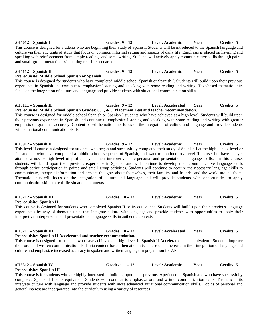**#H5012 – Spanish I Grades: 9 – 12 Level: Academic Year Credits: 5** This course is designed for students who are beginning their study of Spanish. Students will be introduced to the Spanish language and culture via thematic units of study that focus on common informal setting and aspects of daily life. Emphasis is placed on listening and speaking with reinforcement from simple readings and some writing. Students will actively apply communicative skills through paired and small-group interactions simulating real-life scenarios.

## **#H5112 – Spanish II Grades: 9 – 12 Level: Academic Year Credits: 5**

### **Prerequisite: Middle School Spanish or Spanish I**

This course is designed for students who have completed middle school Spanish or Spanish I. Students will build upon their previous experience in Spanish and continue to emphasize listening and speaking with some reading and writing. Text-based thematic units focus on the integration of culture and language and provide students with situational communication skills.

#### **#H5111 – Spanish II Grades: 9 – 12 Level: Accelerated Year Credits: 5 Prerequisite: Middle School Spanish Grades: 6, 7, & 8, Placement Test and teacher recommendation.**

This course is designed for middle school Spanish or Spanish I students who have achieved at a high level. Students will build upon their previous experience in Spanish and continue to emphasize listening and speaking with some reading and writing with greater emphasis on grammar accuracy. Content-based thematic units focus on the integration of culture and language and provide students with situational communication skills.

**#H5912 – Spanish II Grades: 9 – 12 Level: Academic Year Credits: 5** This level II course is designed for students who began and successfully completed their study of Spanish I at the high school level or for students who have completed a middle school sequence of Spanish, and want to continue to a level II course, but have not yet attained a novice-high level of proficiency in their interpretive, interpersonal and presentational language skills. In this course, students will build upon their previous experience in Spanish and will continue to develop their communicative language skills through active participation in paired and small group activities. Students will continue to acquire the necessary language skills to communicate, interpret information and present thoughts about themselves, their families and friends, and the world around them. Thematic units will focus on the integration of culture and language and will provide students with opportunities to apply communication skills to real-life situational contexts.

### **#H5212 – Spanish III Grades: 10 – 12 Level: Academic Year Credits: 5**

This course is designed for students who completed Spanish II or its equivalent. Students will build upon their previous language experiences by way of thematic units that integrate culture with language and provide students with opportunities to apply their interpretive, interpersonal and presentational language skills in authentic contexts.

**Prerequisite: Spanish II**

**#H5211 – Spanish III Grades: 10 – 12 Level: Accelerated Year Credits: 5**

#### **Prerequisite: Spanish II Accelerated and teacher recommendation.** This course is designed for students who have achieved at a high level in Spanish II Accelerated or its equivalent. Students improve their oral and written communication skills via content-based thematic units. These units increase in their integration of language and culture and emphasize increased accuracy in spoken and written language in preparation for AP.

### **#H5312 – Spanish IV Grades: 11 – 12 Level: Academic Year Credits: 5**

## **Prerequisite: Spanish III**

This course is for students who are highly interested in building upon their previous experience in Spanish and who have successfully completed Spanish III or its equivalent. Students will continue to emphasize oral and written communication skills. Thematic units integrate culture with language and provide students with more advanced situational communication skills. Topics of personal and general interest are incorporated into the curriculum using a variety of resources.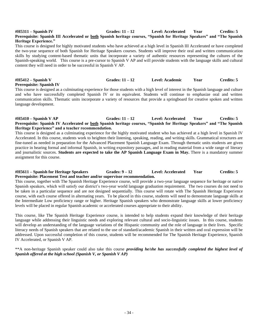#### **#H5311 – Spanish IV Grades: 11 – 12 Level: Accelerated Year Credits: 5 Prerequisite: Spanish III Accelerated or both Spanish heritage courses, "Spanish for Heritage Speakers" and "The Spanish Heritage Experience."**

This course is designed for highly motivated students who have achieved at a high level in Spanish III Accelerated or have completed the two-year sequence of both Spanish for Heritage Speakers courses. Students will improve their oral and written communication skills by studying content-based thematic units that incorporate a variety of authentic resources representing the cultures of the Spanish-speaking world. This course is a pre-cursor to Spanish V AP and will provide students with the language skills and cultural content they will need in order to be successful in Spanish V AP.

### **#H5412 – Spanish V Grades: 11 – 12 Level: Academic Year Credits: 5 Prerequisite: Spanish IV**

This course is designed as a culminating experience for those students with a high level of interest in the Spanish language and culture and who have successfully completed Spanish IV or its equivalent. Students will continue to emphasize oral and written communication skills. Thematic units incorporate a variety of resources that provide a springboard for creative spoken and written language development.

#### **#H5410 – Spanish V AP Grades: 11 – 12 Level: Accelerated Year Credits: 5 Prerequisite: Spanish IV Accelerated or both Spanish heritage courses, "Spanish for Heritage Speakers" and "The Spanish Heritage Experience" and a teacher recommendation.**

This course is designed as a culminating experience for the highly motivated student who has achieved at a high level in Spanish IV Accelerated. In this course, students work to heighten their listening, speaking, reading, and writing skills. Grammatical structures are fine-tuned as needed in preparation for the Advanced Placement Spanish Language Exam. Through thematic units students are given practice in hearing formal and informal Spanish, in writing expository passages, and in reading material from a wide range of literary and journalistic sources. **Students are expected to take the AP Spanish Language Exam in May.** There is a mandatory summer assignment for this course.

#### **#H5611 – Spanish for Heritage Speakers Grades: 9 – 12 Level: Accelerated Year Credits: 5 Prerequisite: Placement Test and teacher and/or supervisor recommendation.**

This course, together with The Spanish Heritage Experience course, will provide a two-year language sequence for heritage or native Spanish speakers, which will satisfy our district's two-year world language graduation requirement. The two courses do not need to be taken in a particular sequence and are not designed sequentially. This course will rotate with The Spanish Heritage Experience course, with each course offered in alternating years. To be placed in this course, students will need to demonstrate language skills at the Intermediate Low proficiency range or higher. Heritage Spanish speakers who demonstrate language skills at lower proficiency levels will be placed in regular Spanish academic or accelerated courses appropriate to their ability.

This course, like The Spanish Heritage Experience course, is intended to help students expand their knowledge of their heritage language while addressing their linguistic needs and exploring relevant cultural and socio-linguistic issues. In this course, students will develop an understanding of the language variations of the Hispanic community and the role of language in their lives. Specific literacy needs of Spanish speakers that are related to the use of standard/academic Spanish in their written and oral expression will be addressed. Upon successful completion of this course, students will be recommended for The Spanish Heritage Experience, Spanish IV Accelerated, or Spanish V AP.

\*\*A non-heritage Spanish speaker could also take this course *providing he/she has successfully completed the highest level of Spanish offered at the high school (Spanish V, or Spanish V AP)*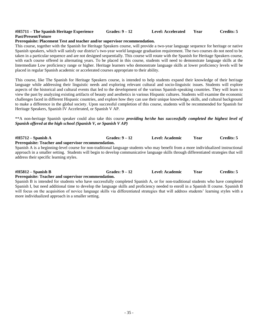### **#H5711 – The Spanish Heritage Experience Grades: 9 – 12 Level: Accelerated Year Credits: 5 Past/Present/Future**

#### **Prerequisite: Placement Test and teacher and/or supervisor recommendation.**

This course, together with the Spanish for Heritage Speakers course, will provide a two-year language sequence for heritage or native Spanish speakers, which will satisfy our district's two-year world language graduation requirement. The two courses do not need to be taken in a particular sequence and are not designed sequentially. This course will rotate with the Spanish for Heritage Speakers course, with each course offered in alternating years. To be placed in this course, students will need to demonstrate language skills at the Intermediate Low proficiency range or higher. Heritage learners who demonstrate language skills at lower proficiency levels will be placed in regular Spanish academic or accelerated courses appropriate to their ability.

This course, like The Spanish for Heritage Speakers course, is intended to help students expand their knowledge of their heritage language while addressing their linguistic needs and exploring relevant cultural and socio-linguistic issues. Students will explore aspects of the historical and cultural events that led to the development of the various Spanish-speaking countries. They will learn to view the past by analyzing existing artifacts of beauty and aesthetics in various Hispanic cultures. Students will examine the economic challenges faced in different Hispanic countries, and explore how they can use their unique knowledge, skills, and cultural background to make a difference in the global society. Upon successful completion of this course, students will be recommended for Spanish for Heritage Speakers, Spanish IV Accelerated, or Spanish V AP.

#### \*\*A non-heritage Spanish speaker could also take this course *providing he/she has successfully completed the highest level of Spanish offered at the high school (Spanish V, or Spanish V AP)*

**#H5712 – Spanish A Grades: 9 – 12 Level: Academic Year Credits: 5 Prerequisite: Teacher and supervisor recommendation.**

Spanish A is a beginning-level course for non-traditional language students who may benefit from a more individualized instructional approach in a smaller setting. Students will begin to develop communicative language skills through differentiated strategies that will address their specific learning styles.

**#H5812 – Spanish B Grades: 9 – 12 Level: Academic Year Credits: 5 Prerequisite: Teacher and supervisor recommendation.**

Spanish B is intended for students who have successfully completed Spanish A, or for non-traditional students who have completed Spanish I, but need additional time to develop the language skills and proficiency needed to enroll in a Spanish II course. Spanish B will focus on the acquisition of novice language skills via differentiated strategies that will address students' learning styles with a more individualized approach in a smaller setting.